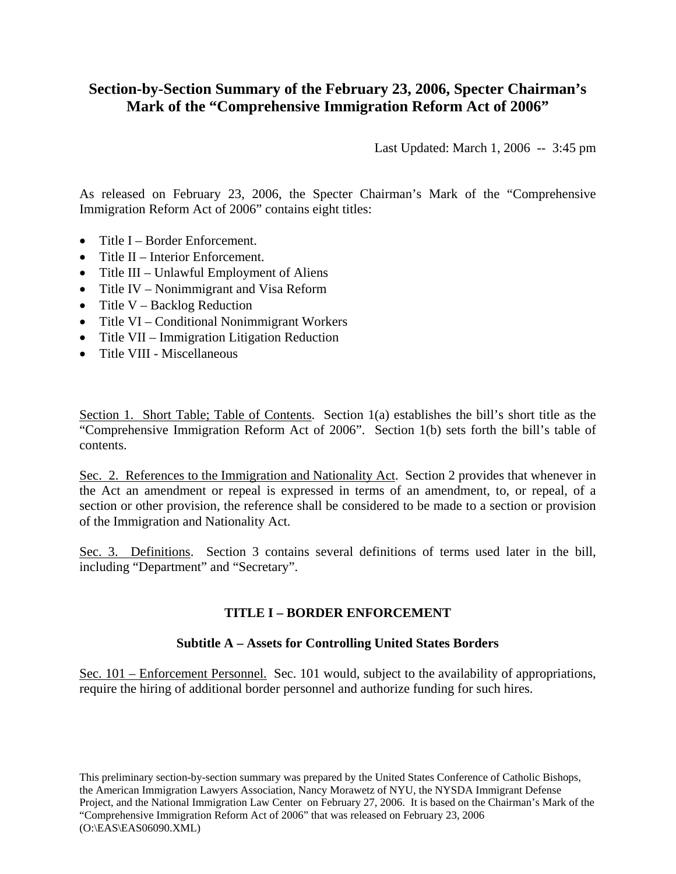# **Section-by-Section Summary of the February 23, 2006, Specter Chairman's Mark of the "Comprehensive Immigration Reform Act of 2006"**

Last Updated: March 1, 2006 -- 3:45 pm

As released on February 23, 2006, the Specter Chairman's Mark of the "Comprehensive Immigration Reform Act of 2006" contains eight titles:

- Title I Border Enforcement.
- Title II Interior Enforcement.
- Title III Unlawful Employment of Aliens
- Title IV Nonimmigrant and Visa Reform
- Title V Backlog Reduction
- Title VI Conditional Nonimmigrant Workers
- Title VII Immigration Litigation Reduction
- Title VIII Miscellaneous

Section 1. Short Table; Table of Contents. Section 1(a) establishes the bill's short title as the "Comprehensive Immigration Reform Act of 2006". Section 1(b) sets forth the bill's table of contents.

Sec. 2. References to the Immigration and Nationality Act. Section 2 provides that whenever in the Act an amendment or repeal is expressed in terms of an amendment, to, or repeal, of a section or other provision, the reference shall be considered to be made to a section or provision of the Immigration and Nationality Act.

Sec. 3. Definitions. Section 3 contains several definitions of terms used later in the bill, including "Department" and "Secretary".

## **TITLE I – BORDER ENFORCEMENT**

## **Subtitle A – Assets for Controlling United States Borders**

Sec. 101 – Enforcement Personnel. Sec. 101 would, subject to the availability of appropriations, require the hiring of additional border personnel and authorize funding for such hires.

This preliminary section-by-section summary was prepared by the United States Conference of Catholic Bishops, the American Immigration Lawyers Association, Nancy Morawetz of NYU, the NYSDA Immigrant Defense Project, and the National Immigration Law Center on February 27, 2006. It is based on the Chairman's Mark of the "Comprehensive Immigration Reform Act of 2006" that was released on February 23, 2006 (O:\EAS\EAS06090.XML)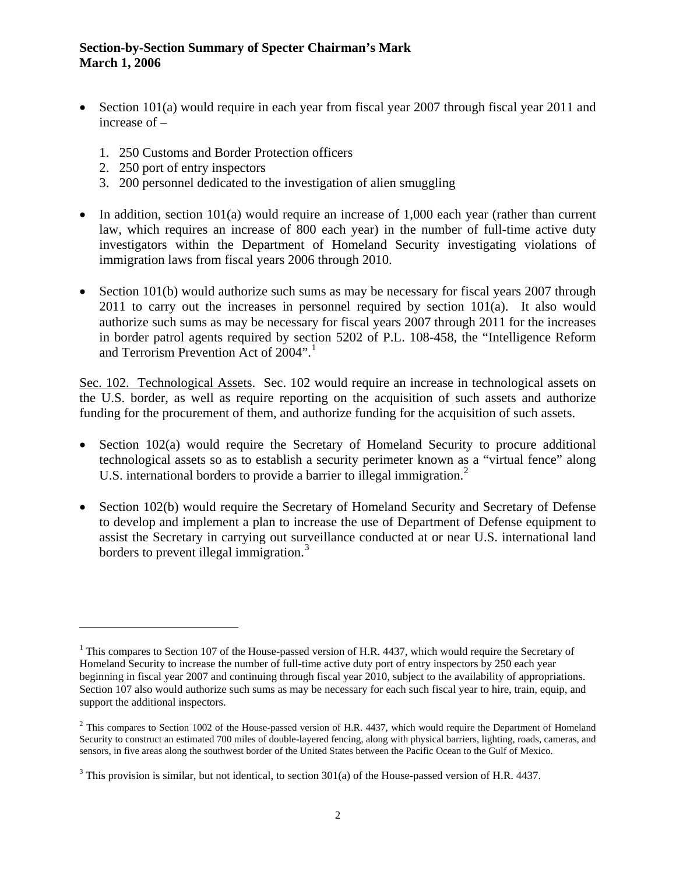- Section 101(a) would require in each year from fiscal year 2007 through fiscal year 2011 and increase of –
	- 1. 250 Customs and Border Protection officers
	- 2. 250 port of entry inspectors

 $\overline{a}$ 

- 3. 200 personnel dedicated to the investigation of alien smuggling
- In addition, section  $101(a)$  would require an increase of 1,000 each year (rather than current law, which requires an increase of 800 each year) in the number of full-time active duty investigators within the Department of Homeland Security investigating violations of immigration laws from fiscal years 2006 through 2010.
- Section 101(b) would authorize such sums as may be necessary for fiscal years 2007 through 2011 to carry out the increases in personnel required by section 101(a). It also would authorize such sums as may be necessary for fiscal years 2007 through 2011 for the increases in border patrol agents required by section 5202 of P.L. 108-458, the "Intelligence Reform and Terrorism Prevention Act of 2004".

Sec. 102. Technological Assets. Sec. 102 would require an increase in technological assets on the U.S. border, as well as require reporting on the acquisition of such assets and authorize funding for the procurement of them, and authorize funding for the acquisition of such assets.

- <span id="page-1-3"></span>• Section 102(a) would require the Secretary of Homeland Security to procure additional technological assets so as to establish a security perimeter known as a "virtual fence" along U.S. international borders to provide a barrier to illegal immigration.<sup>[2](#page-1-1)</sup>
- Section 102(b) would require the Secretary of Homeland Security and Secretary of Defense to develop and implement a plan to increase the use of Department of Defense equipment to assist the Secretary in carrying out surveillance conducted at or near U.S. international land borders to prevent illegal immigration.<sup>[3](#page-1-2)</sup>

<span id="page-1-0"></span><sup>&</sup>lt;sup>1</sup> This compares to Section 107 of the House-passed version of H.R. 4437, which would require the Secretary of Homeland Security to increase the number of full-time active duty port of entry inspectors by 250 each year beginning in fiscal year 2007 and continuing through fiscal year 2010, subject to the availability of appropriations. Section 107 also would authorize such sums as may be necessary for each such fiscal year to hire, train, equip, and support the additional inspectors.

<span id="page-1-1"></span> $2$  This compares to Section 1002 of the House-passed version of H.R. 4437, which would require the Department of Homeland Security to construct an estimated 700 miles of double-layered fencing, along with physical barriers, lighting, roads, cameras, and sensors, in five areas along the southwest border of the United States between the Pacific Ocean to the Gulf of Mexico.

<span id="page-1-2"></span> $3$  This provision is similar, but not identical, to section 301(a) of the House-passed version of H.R. 4437.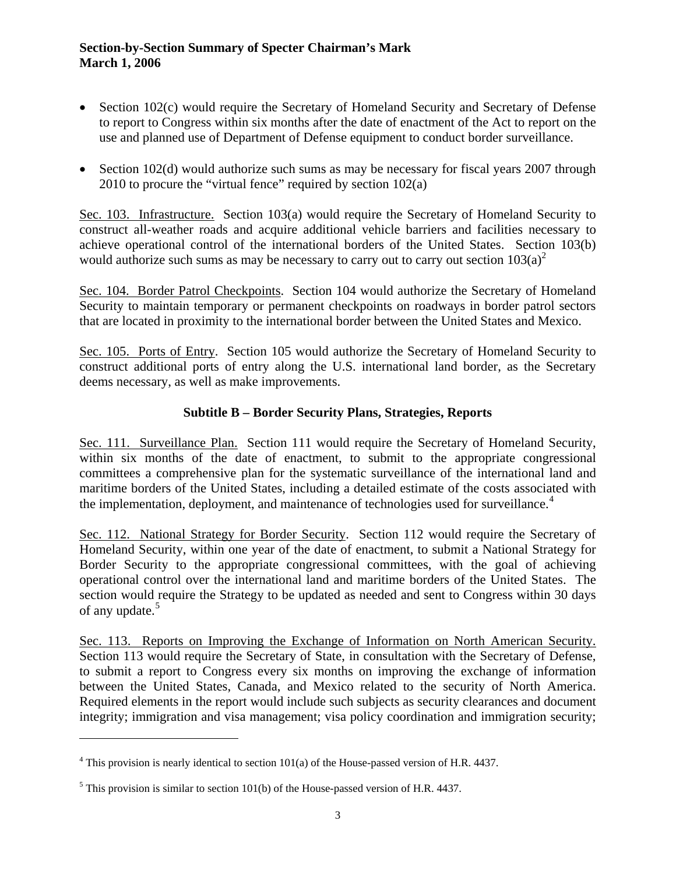- Section 102(c) would require the Secretary of Homeland Security and Secretary of Defense to report to Congress within six months after the date of enactment of the Act to report on the use and planned use of Department of Defense equipment to conduct border surveillance.
- Section 102(d) would authorize such sums as may be necessary for fiscal years 2007 through 2010 to procure the "virtual fence" required by section 102(a)

Sec. 103. Infrastructure. Section 103(a) would require the Secretary of Homeland Security to construct all-weather roads and acquire additional vehicle barriers and facilities necessary to achieve operational control of the international borders of the United States. Section 103(b) would authorize such sums as may be necessary to carry out to carry out section  $103(a)^2$  $103(a)^2$ 

Sec. 104. Border Patrol Checkpoints. Section 104 would authorize the Secretary of Homeland Security to maintain temporary or permanent checkpoints on roadways in border patrol sectors that are located in proximity to the international border between the United States and Mexico.

Sec. 105. Ports of Entry. Section 105 would authorize the Secretary of Homeland Security to construct additional ports of entry along the U.S. international land border, as the Secretary deems necessary, as well as make improvements.

# **Subtitle B – Border Security Plans, Strategies, Reports**

Sec. 111. Surveillance Plan. Section 111 would require the Secretary of Homeland Security, within six months of the date of enactment, to submit to the appropriate congressional committees a comprehensive plan for the systematic surveillance of the international land and maritime borders of the United States, including a detailed estimate of the costs associated with the implementation, deployment, and maintenance of technologies used for surveillance.<sup>[4](#page-2-0)</sup>

Sec. 112. National Strategy for Border Security. Section 112 would require the Secretary of Homeland Security, within one year of the date of enactment, to submit a National Strategy for Border Security to the appropriate congressional committees, with the goal of achieving operational control over the international land and maritime borders of the United States. The section would require the Strategy to be updated as needed and sent to Congress within 30 days of any update.<sup>[5](#page-2-1)</sup>

Sec. 113. Reports on Improving the Exchange of Information on North American Security. Section 113 would require the Secretary of State, in consultation with the Secretary of Defense, to submit a report to Congress every six months on improving the exchange of information between the United States, Canada, and Mexico related to the security of North America. Required elements in the report would include such subjects as security clearances and document integrity; immigration and visa management; visa policy coordination and immigration security;

<span id="page-2-0"></span> $4$  This provision is nearly identical to section 101(a) of the House-passed version of H.R. 4437.

<span id="page-2-1"></span><sup>&</sup>lt;sup>5</sup> This provision is similar to section 101(b) of the House-passed version of H.R. 4437.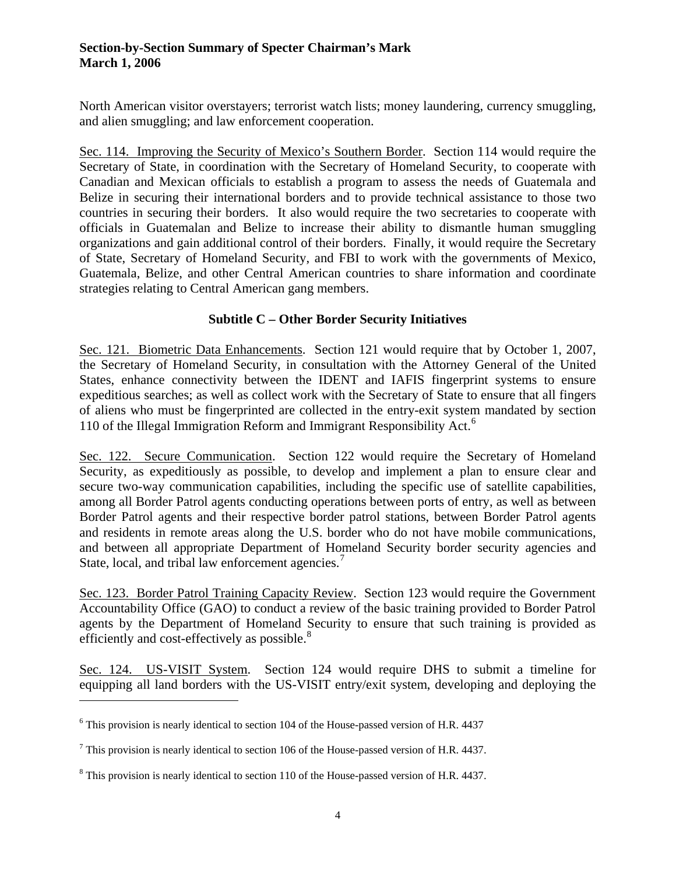North American visitor overstayers; terrorist watch lists; money laundering, currency smuggling, and alien smuggling; and law enforcement cooperation.

Sec. 114. Improving the Security of Mexico's Southern Border. Section 114 would require the Secretary of State, in coordination with the Secretary of Homeland Security, to cooperate with Canadian and Mexican officials to establish a program to assess the needs of Guatemala and Belize in securing their international borders and to provide technical assistance to those two countries in securing their borders. It also would require the two secretaries to cooperate with officials in Guatemalan and Belize to increase their ability to dismantle human smuggling organizations and gain additional control of their borders. Finally, it would require the Secretary of State, Secretary of Homeland Security, and FBI to work with the governments of Mexico, Guatemala, Belize, and other Central American countries to share information and coordinate strategies relating to Central American gang members.

## **Subtitle C – Other Border Security Initiatives**

Sec. 121. Biometric Data Enhancements. Section 121 would require that by October 1, 2007, the Secretary of Homeland Security, in consultation with the Attorney General of the United States, enhance connectivity between the IDENT and IAFIS fingerprint systems to ensure expeditious searches; as well as collect work with the Secretary of State to ensure that all fingers of aliens who must be fingerprinted are collected in the entry-exit system mandated by section 110 of the Illegal Immigration Reform and Immigrant Responsibility Act.<sup>[6](#page-3-0)</sup>

Sec. 122. Secure Communication. Section 122 would require the Secretary of Homeland Security, as expeditiously as possible, to develop and implement a plan to ensure clear and secure two-way communication capabilities, including the specific use of satellite capabilities, among all Border Patrol agents conducting operations between ports of entry, as well as between Border Patrol agents and their respective border patrol stations, between Border Patrol agents and residents in remote areas along the U.S. border who do not have mobile communications, and between all appropriate Department of Homeland Security border security agencies and State, local, and tribal law enforcement agencies.<sup>[7](#page-3-1)</sup>

Sec. 123. Border Patrol Training Capacity Review. Section 123 would require the Government Accountability Office (GAO) to conduct a review of the basic training provided to Border Patrol agents by the Department of Homeland Security to ensure that such training is provided as efficiently and cost-effectively as possible. $8$ 

Sec. 124. US-VISIT System. Section 124 would require DHS to submit a timeline for equipping all land borders with the US-VISIT entry/exit system, developing and deploying the

<span id="page-3-0"></span> $6$  This provision is nearly identical to section 104 of the House-passed version of H.R. 4437

<span id="page-3-1"></span> $<sup>7</sup>$  This provision is nearly identical to section 106 of the House-passed version of H.R. 4437.</sup>

<span id="page-3-2"></span> $8$  This provision is nearly identical to section 110 of the House-passed version of H.R. 4437.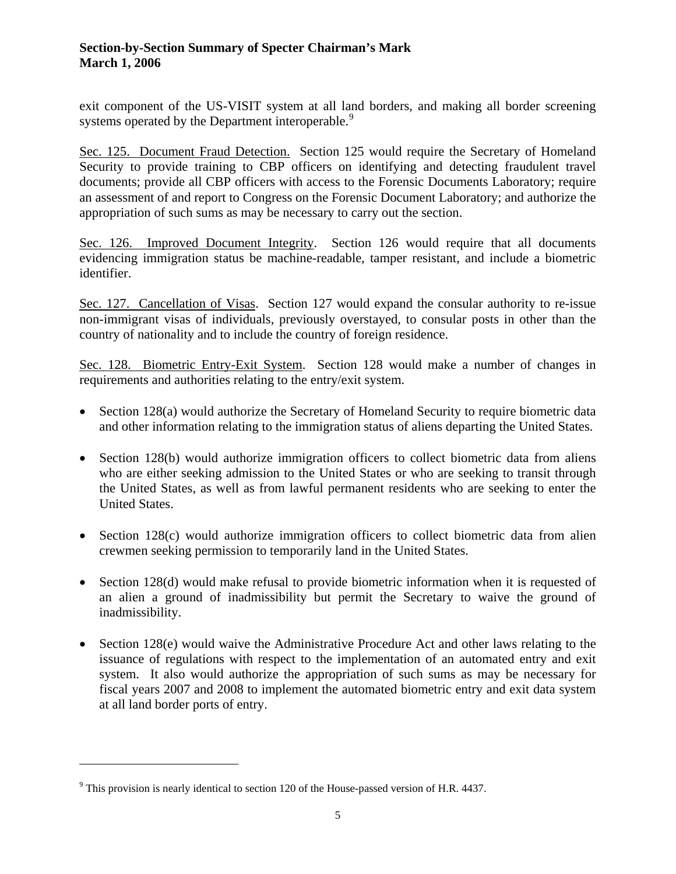exit component of the US-VISIT system at all land borders, and making all border screening systems operated by the Department interoperable.<sup>[9](#page-4-0)</sup>

Sec. 125. Document Fraud Detection. Section 125 would require the Secretary of Homeland Security to provide training to CBP officers on identifying and detecting fraudulent travel documents; provide all CBP officers with access to the Forensic Documents Laboratory; require an assessment of and report to Congress on the Forensic Document Laboratory; and authorize the appropriation of such sums as may be necessary to carry out the section.

Sec. 126. Improved Document Integrity. Section 126 would require that all documents evidencing immigration status be machine-readable, tamper resistant, and include a biometric identifier.

Sec. 127. Cancellation of Visas. Section 127 would expand the consular authority to re-issue non-immigrant visas of individuals, previously overstayed, to consular posts in other than the country of nationality and to include the country of foreign residence.

Sec. 128. Biometric Entry-Exit System. Section 128 would make a number of changes in requirements and authorities relating to the entry/exit system.

- Section 128(a) would authorize the Secretary of Homeland Security to require biometric data and other information relating to the immigration status of aliens departing the United States.
- Section 128(b) would authorize immigration officers to collect biometric data from aliens who are either seeking admission to the United States or who are seeking to transit through the United States, as well as from lawful permanent residents who are seeking to enter the United States.
- Section 128(c) would authorize immigration officers to collect biometric data from alien crewmen seeking permission to temporarily land in the United States.
- Section 128(d) would make refusal to provide biometric information when it is requested of an alien a ground of inadmissibility but permit the Secretary to waive the ground of inadmissibility.
- Section 128(e) would waive the Administrative Procedure Act and other laws relating to the issuance of regulations with respect to the implementation of an automated entry and exit system. It also would authorize the appropriation of such sums as may be necessary for fiscal years 2007 and 2008 to implement the automated biometric entry and exit data system at all land border ports of entry.

<span id="page-4-0"></span> $9$  This provision is nearly identical to section 120 of the House-passed version of H.R. 4437.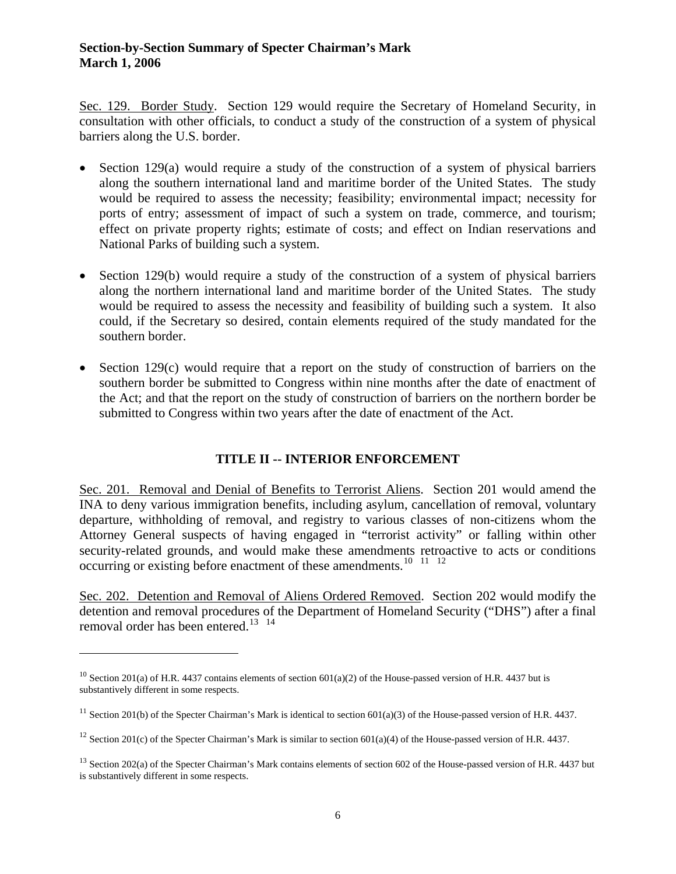Sec. 129. Border Study. Section 129 would require the Secretary of Homeland Security, in consultation with other officials, to conduct a study of the construction of a system of physical barriers along the U.S. border.

- Section 129(a) would require a study of the construction of a system of physical barriers along the southern international land and maritime border of the United States. The study would be required to assess the necessity; feasibility; environmental impact; necessity for ports of entry; assessment of impact of such a system on trade, commerce, and tourism; effect on private property rights; estimate of costs; and effect on Indian reservations and National Parks of building such a system.
- Section 129(b) would require a study of the construction of a system of physical barriers along the northern international land and maritime border of the United States. The study would be required to assess the necessity and feasibility of building such a system. It also could, if the Secretary so desired, contain elements required of the study mandated for the southern border.
- Section 129(c) would require that a report on the study of construction of barriers on the southern border be submitted to Congress within nine months after the date of enactment of the Act; and that the report on the study of construction of barriers on the northern border be submitted to Congress within two years after the date of enactment of the Act.

# **TITLE II -- INTERIOR ENFORCEMENT**

Sec. 201. Removal and Denial of Benefits to Terrorist Aliens. Section 201 would amend the INA to deny various immigration benefits, including asylum, cancellation of removal, voluntary departure, withholding of removal, and registry to various classes of non-citizens whom the Attorney General suspects of having engaged in "terrorist activity" or falling within other security-related grounds, and would make these amendments retroactive to acts or conditions occurring or existing before enactment of these amendments.<sup>[10](#page-5-0)</sup> <sup>[11](#page-5-1)</sup> <sup>[12](#page-5-2)</sup>

Sec. 202. Detention and Removal of Aliens Ordered Removed. Section 202 would modify the detention and removal procedures of the Department of Homeland Security ("DHS") after a final removal order has been entered.<sup>[13](#page-5-3)</sup><sup>[14](#page-5-4)</sup>

l

<span id="page-5-0"></span><sup>&</sup>lt;sup>10</sup> Section 201(a) of H.R. 4437 contains elements of section 601(a)(2) of the House-passed version of H.R. 4437 but is substantively different in some respects.

<span id="page-5-1"></span><sup>&</sup>lt;sup>11</sup> Section 201(b) of the Specter Chairman's Mark is identical to section  $601(a)(3)$  of the House-passed version of H.R. 4437.

<span id="page-5-2"></span><sup>&</sup>lt;sup>12</sup> Section 201(c) of the Specter Chairman's Mark is similar to section 601(a)(4) of the House-passed version of H.R. 4437.

<span id="page-5-4"></span><span id="page-5-3"></span><sup>&</sup>lt;sup>13</sup> Section 202(a) of the Specter Chairman's Mark contains elements of section 602 of the House-passed version of H.R. 4437 but is substantively different in some respects.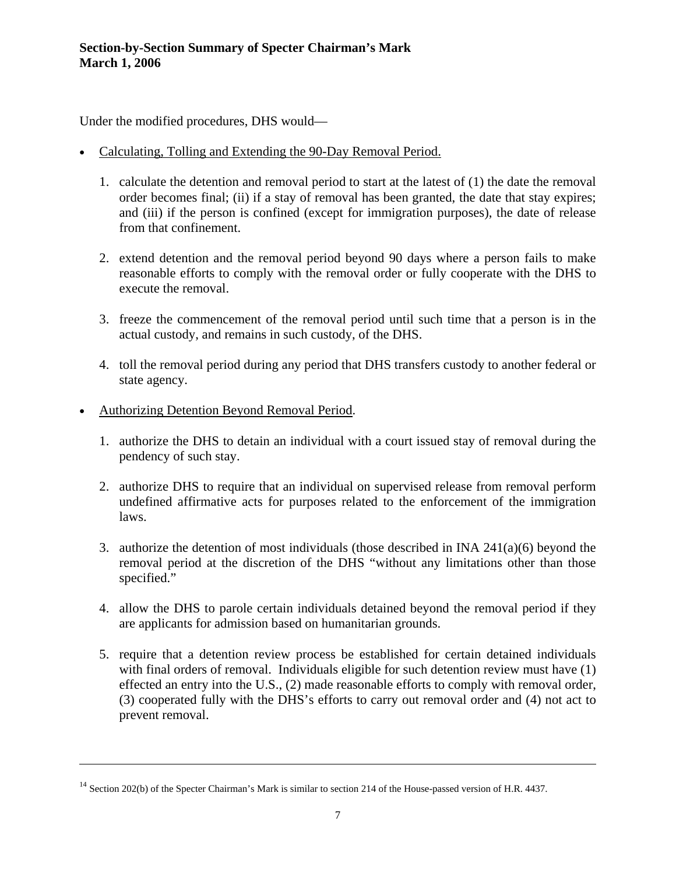Under the modified procedures, DHS would—

- Calculating, Tolling and Extending the 90-Day Removal Period.
	- 1. calculate the detention and removal period to start at the latest of (1) the date the removal order becomes final; (ii) if a stay of removal has been granted, the date that stay expires; and (iii) if the person is confined (except for immigration purposes), the date of release from that confinement.
	- 2. extend detention and the removal period beyond 90 days where a person fails to make reasonable efforts to comply with the removal order or fully cooperate with the DHS to execute the removal.
	- 3. freeze the commencement of the removal period until such time that a person is in the actual custody, and remains in such custody, of the DHS.
	- 4. toll the removal period during any period that DHS transfers custody to another federal or state agency.
- Authorizing Detention Beyond Removal Period.

- 1. authorize the DHS to detain an individual with a court issued stay of removal during the pendency of such stay.
- 2. authorize DHS to require that an individual on supervised release from removal perform undefined affirmative acts for purposes related to the enforcement of the immigration laws.
- 3. authorize the detention of most individuals (those described in INA 241(a)(6) beyond the removal period at the discretion of the DHS "without any limitations other than those specified."
- 4. allow the DHS to parole certain individuals detained beyond the removal period if they are applicants for admission based on humanitarian grounds.
- 5. require that a detention review process be established for certain detained individuals with final orders of removal. Individuals eligible for such detention review must have (1) effected an entry into the U.S., (2) made reasonable efforts to comply with removal order, (3) cooperated fully with the DHS's efforts to carry out removal order and (4) not act to prevent removal.

<sup>&</sup>lt;sup>14</sup> Section 202(b) of the Specter Chairman's Mark is similar to section 214 of the House-passed version of H.R. 4437.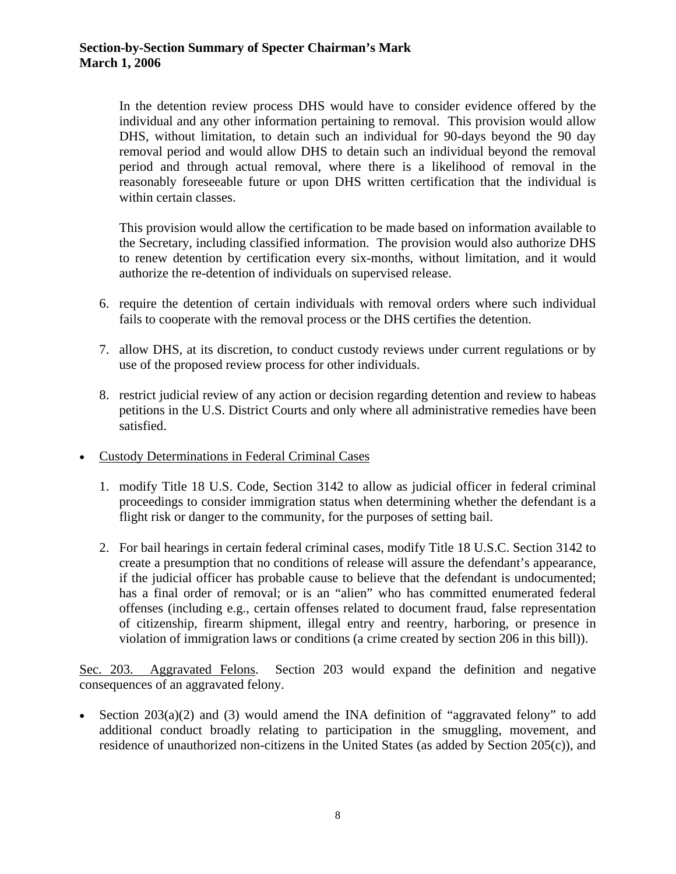In the detention review process DHS would have to consider evidence offered by the individual and any other information pertaining to removal. This provision would allow DHS, without limitation, to detain such an individual for 90-days beyond the 90 day removal period and would allow DHS to detain such an individual beyond the removal period and through actual removal, where there is a likelihood of removal in the reasonably foreseeable future or upon DHS written certification that the individual is within certain classes.

This provision would allow the certification to be made based on information available to the Secretary, including classified information. The provision would also authorize DHS to renew detention by certification every six-months, without limitation, and it would authorize the re-detention of individuals on supervised release.

- 6. require the detention of certain individuals with removal orders where such individual fails to cooperate with the removal process or the DHS certifies the detention.
- 7. allow DHS, at its discretion, to conduct custody reviews under current regulations or by use of the proposed review process for other individuals.
- 8. restrict judicial review of any action or decision regarding detention and review to habeas petitions in the U.S. District Courts and only where all administrative remedies have been satisfied.
- Custody Determinations in Federal Criminal Cases
	- 1. modify Title 18 U.S. Code, Section 3142 to allow as judicial officer in federal criminal proceedings to consider immigration status when determining whether the defendant is a flight risk or danger to the community, for the purposes of setting bail.
	- 2. For bail hearings in certain federal criminal cases, modify Title 18 U.S.C. Section 3142 to create a presumption that no conditions of release will assure the defendant's appearance, if the judicial officer has probable cause to believe that the defendant is undocumented; has a final order of removal; or is an "alien" who has committed enumerated federal offenses (including e.g., certain offenses related to document fraud, false representation of citizenship, firearm shipment, illegal entry and reentry, harboring, or presence in violation of immigration laws or conditions (a crime created by section 206 in this bill)).

Sec. 203. Aggravated Felons. Section 203 would expand the definition and negative consequences of an aggravated felony.

• Section 203(a)(2) and (3) would amend the INA definition of "aggravated felony" to add additional conduct broadly relating to participation in the smuggling, movement, and residence of unauthorized non-citizens in the United States (as added by Section 205(c)), and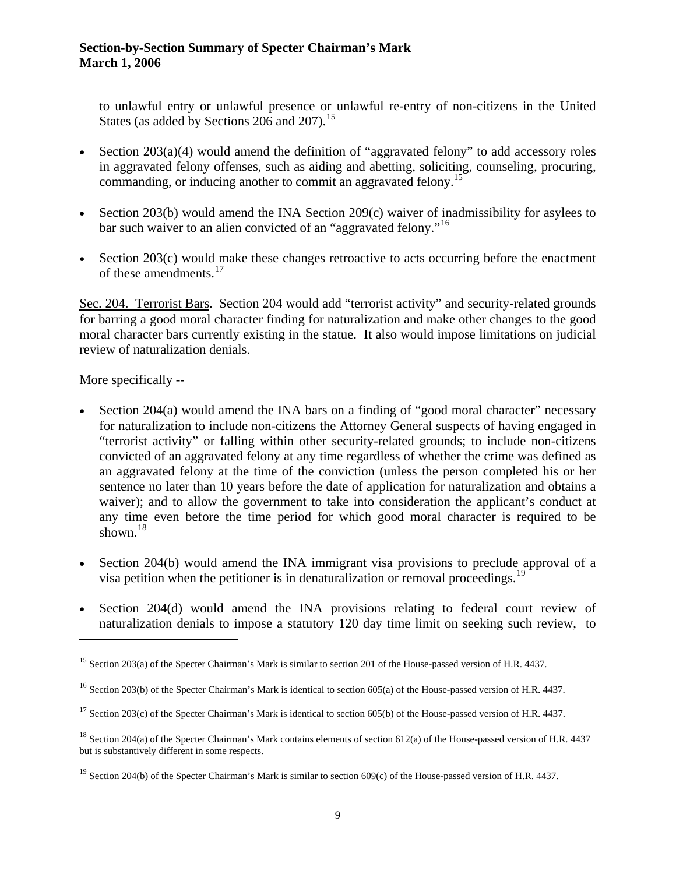to unlawful entry or unlawful presence or unlawful re-entry of non-citizens in the United States (as added by Sections 206 and 207).<sup>[15](#page-8-0)</sup>

- <span id="page-8-1"></span>• Section 203(a)(4) would amend the definition of "aggravated felony" to add accessory roles in aggravated felony offenses, such as aiding and abetting, soliciting, counseling, procuring, commanding, or inducing another to commit an aggravated felony.<sup>[15](#page-8-1)</sup>
- Section 203(b) would amend the INA Section 209(c) waiver of inadmissibility for asylees to bar such waiver to an alien convicted of an "aggravated felony."<sup>[16](#page-8-2)</sup>
- Section 203(c) would make these changes retroactive to acts occurring before the enactment of these amendments.<sup>[17](#page-8-3)</sup>

Sec. 204. Terrorist Bars. Section 204 would add "terrorist activity" and security-related grounds for barring a good moral character finding for naturalization and make other changes to the good moral character bars currently existing in the statue. It also would impose limitations on judicial review of naturalization denials.

More specifically --

- Section 204(a) would amend the INA bars on a finding of "good moral character" necessary for naturalization to include non-citizens the Attorney General suspects of having engaged in "terrorist activity" or falling within other security-related grounds; to include non-citizens convicted of an aggravated felony at any time regardless of whether the crime was defined as an aggravated felony at the time of the conviction (unless the person completed his or her sentence no later than 10 years before the date of application for naturalization and obtains a waiver); and to allow the government to take into consideration the applicant's conduct at any time even before the time period for which good moral character is required to be shown. $18$
- Section 204(b) would amend the INA immigrant visa provisions to preclude approval of a visa petition when the petitioner is in denaturalization or removal proceedings.<sup>[19](#page-8-5)</sup>
- Section 204(d) would amend the INA provisions relating to federal court review of naturalization denials to impose a statutory 120 day time limit on seeking such review, to

<span id="page-8-0"></span><sup>&</sup>lt;sup>15</sup> Section 203(a) of the Specter Chairman's Mark is similar to section 201 of the House-passed version of H.R. 4437.

<span id="page-8-2"></span><sup>&</sup>lt;sup>16</sup> Section 203(b) of the Specter Chairman's Mark is identical to section 605(a) of the House-passed version of H.R. 4437.

<span id="page-8-3"></span><sup>&</sup>lt;sup>17</sup> Section 203(c) of the Specter Chairman's Mark is identical to section 605(b) of the House-passed version of H.R. 4437.

<span id="page-8-4"></span><sup>&</sup>lt;sup>18</sup> Section 204(a) of the Specter Chairman's Mark contains elements of section 612(a) of the House-passed version of H.R. 4437 but is substantively different in some respects.

<span id="page-8-5"></span><sup>&</sup>lt;sup>19</sup> Section 204(b) of the Specter Chairman's Mark is similar to section  $609(c)$  of the House-passed version of H.R. 4437.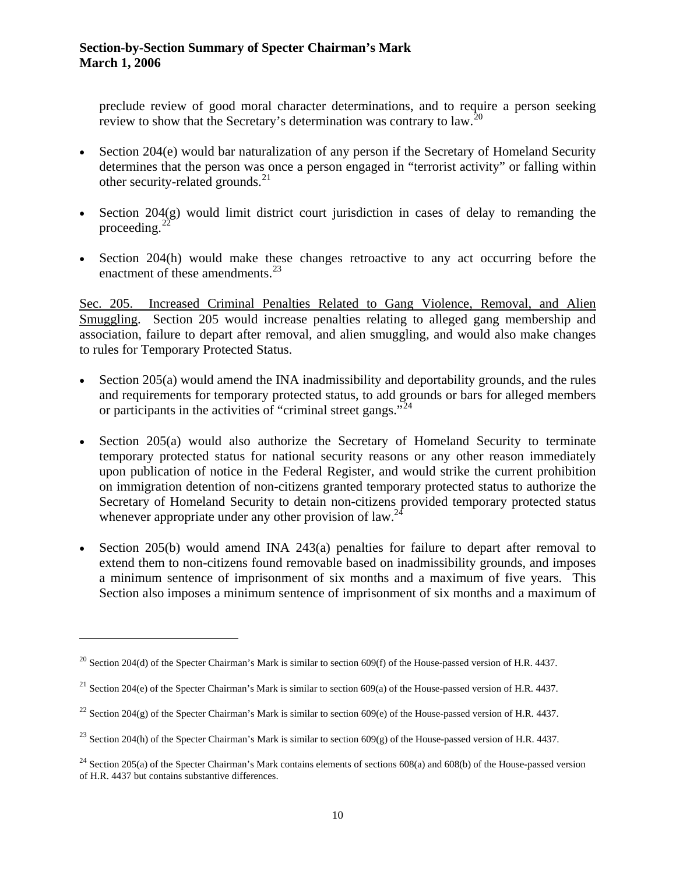preclude review of good moral character determinations, and to require a person seeking review to show that the Secretary's determination was contrary to law.<sup>[20](#page-9-0)</sup>

- Section 204(e) would bar naturalization of any person if the Secretary of Homeland Security determines that the person was once a person engaged in "terrorist activity" or falling within other security-related grounds. $^{21}$  $^{21}$  $^{21}$
- Section  $204(g)$  would limit district court jurisdiction in cases of delay to remanding the proceeding.<sup>22</sup>
- Section 204(h) would make these changes retroactive to any act occurring before the enactment of these amendments.<sup>23</sup>

Sec. 205. Increased Criminal Penalties Related to Gang Violence, Removal, and Alien Smuggling. Section 205 would increase penalties relating to alleged gang membership and association, failure to depart after removal, and alien smuggling, and would also make changes to rules for Temporary Protected Status.

- <span id="page-9-3"></span>• Section  $205(a)$  would amend the INA inadmissibility and deportability grounds, and the rules and requirements for temporary protected status, to add grounds or bars for alleged members or participants in the activities of "criminal street gangs."<sup>[24](#page-9-2)</sup>
- temporary protected status for national security reasons or any other reason immediately Section 205(a) would also authorize the Secretary of Homeland Security to terminate upon publication of notice in the Federal Register, and would strike the current prohibition on immigration detention of non-citizens granted temporary protected status to authorize the Secretary of Homeland Security to detain non-citizens provided temporary protected status whenever appropriate under any other provision of  $law<sup>24</sup>$ .
- Section 205(b) would amend INA 243(a) penalties for failure to depart after removal to extend them to non-citizens found removable based on inadmissibility grounds, and imposes a minimum sentence of imprisonment of six months and a maximum of five years. This Section also imposes a minimum sentence of imprisonment of six months and a maximum of

<span id="page-9-0"></span><sup>&</sup>lt;sup>20</sup> Section 204(d) of the Specter Chairman's Mark is similar to section 609(f) of the House-passed version of H.R. 4437.

<span id="page-9-1"></span><sup>&</sup>lt;sup>21</sup> Section 204(e) of the Specter Chairman's Mark is similar to section  $609(a)$  of the House-passed version of H.R. 4437.

<sup>&</sup>lt;sup>22</sup> Section 204(g) of the Specter Chairman's Mark is similar to section 609(e) of the House-passed version of H.R. 4437.

<sup>&</sup>lt;sup>23</sup> Section 204(h) of the Specter Chairman's Mark is similar to section 609(g) of the House-passed version of H.R. 4437.

<span id="page-9-2"></span><sup>&</sup>lt;sup>24</sup> Section 205(a) of the Specter Chairman's Mark contains elements of sections  $608(a)$  and  $608(b)$  of the House-passed version of H.R. 4437 but contains substantive differences.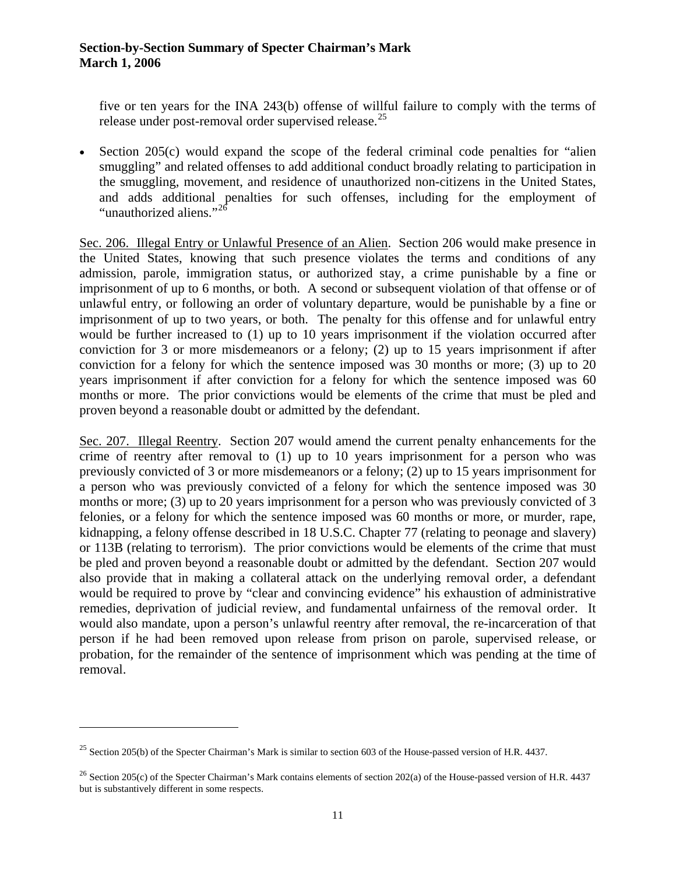five or ten years for the INA 243(b) offense of willful failure to comply with the terms of release under post-removal order supervised release.<sup>[25](#page-10-0)</sup>

Section 205(c) would expand the scope of the federal criminal code penalties for "alien" • smuggling" and related offenses to add additional conduct broadly relating to participation in the smuggling, movement, and residence of unauthorized non-citizens in the United States, and adds additional penalties for such offenses, including for the employment of "unauthorized aliens."<sup>[26](#page-10-1)</sup>

Sec. 206. Illegal Entry or Unlawful Presence of an Alien. Section 206 would make presence in the United States, knowing that such presence violates the terms and conditions of any admission, parole, immigration status, or authorized stay, a crime punishable by a fine or imprisonment of up to 6 months, or both. A second or subsequent violation of that offense or of unlawful entry, or following an order of voluntary departure, would be punishable by a fine or imprisonment of up to two years, or both. The penalty for this offense and for unlawful entry would be further increased to (1) up to 10 years imprisonment if the violation occurred after conviction for 3 or more misdemeanors or a felony; (2) up to 15 years imprisonment if after conviction for a felony for which the sentence imposed was 30 months or more; (3) up to 20 years imprisonment if after conviction for a felony for which the sentence imposed was 60 months or more. The prior convictions would be elements of the crime that must be pled and proven beyond a reasonable doubt or admitted by the defendant.

Sec. 207. Illegal Reentry. Section 207 would amend the current penalty enhancements for the crime of reentry after removal to (1) up to 10 years imprisonment for a person who was previously convicted of 3 or more misdemeanors or a felony; (2) up to 15 years imprisonment for a person who was previously convicted of a felony for which the sentence imposed was 30 months or more; (3) up to 20 years imprisonment for a person who was previously convicted of 3 felonies, or a felony for which the sentence imposed was 60 months or more, or murder, rape, kidnapping, a felony offense described in 18 U.S.C. Chapter 77 (relating to peonage and slavery) or 113B (relating to terrorism). The prior convictions would be elements of the crime that must be pled and proven beyond a reasonable doubt or admitted by the defendant. Section 207 would also provide that in making a collateral attack on the underlying removal order, a defendant would be required to prove by "clear and convincing evidence" his exhaustion of administrative remedies, deprivation of judicial review, and fundamental unfairness of the removal order. It would also mandate, upon a person's unlawful reentry after removal, the re-incarceration of that person if he had been removed upon release from prison on parole, supervised release, or probation, for the remainder of the sentence of imprisonment which was pending at the time of removal.

<span id="page-10-0"></span><sup>&</sup>lt;sup>25</sup> Section 205(b) of the Specter Chairman's Mark is similar to section 603 of the House-passed version of H.R. 4437.

<span id="page-10-1"></span><sup>&</sup>lt;sup>26</sup> Section 205(c) of the Specter Chairman's Mark contains elements of section 202(a) of the House-passed version of H.R. 4437 but is substantively different in some respects.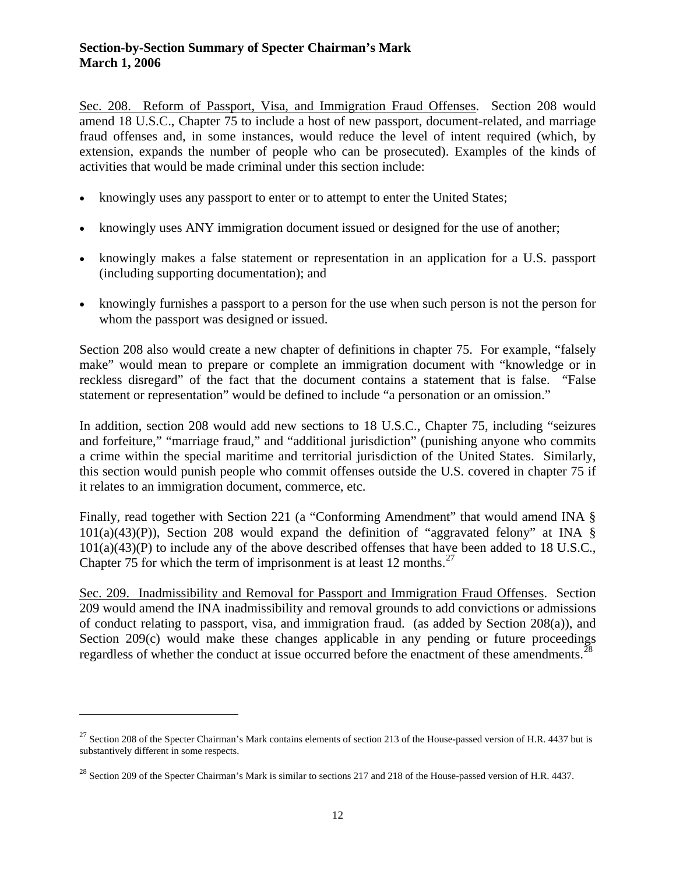Sec. 208. Reform of Passport, Visa, and Immigration Fraud Offenses. Section 208 would amend 18 U.S.C., Chapter 75 to include a host of new passport, document-related, and marriage fraud offenses and, in some instances, would reduce the level of intent required (which, by extension, expands the number of people who can be prosecuted). Examples of the kinds of activities that would be made criminal under this section include:

- knowingly uses any passport to enter or to attempt to enter the United States;
- knowingly uses ANY immigration document issued or designed for the use of another;
- knowingly makes a false statement or representation in an application for a U.S. passport (including supporting documentation); and
- knowingly furnishes a passport to a person for the use when such person is not the person for whom the passport was designed or issued.

Section 208 also would create a new chapter of definitions in chapter 75. For example, "falsely make" would mean to prepare or complete an immigration document with "knowledge or in reckless disregard" of the fact that the document contains a statement that is false. "False statement or representation" would be defined to include "a personation or an omission."

In addition, section 208 would add new sections to 18 U.S.C., Chapter 75, including "seizures and forfeiture," "marriage fraud," and "additional jurisdiction" (punishing anyone who commits a crime within the special maritime and territorial jurisdiction of the United States. Similarly, this section would punish people who commit offenses outside the U.S. covered in chapter 75 if it relates to an immigration document, commerce, etc.

Finally, read together with Section 221 (a "Conforming Amendment" that would amend INA §  $101(a)(43)(P)$ ), Section 208 would expand the definition of "aggravated felony" at INA § 101(a)(43)(P) to include any of the above described offenses that have been added to 18 U.S.C., Chapter 75 for which the term of imprisonment is at least 12 months.<sup>[27](#page-11-0)</sup>

Sec. 209. Inadmissibility and Removal for Passport and Immigration Fraud Offenses. Section 209 would amend the INA inadmissibility and removal grounds to add convictions or admissions of conduct relating to passport, visa, and immigration fraud. (as added by Section 208(a)), and Section 209(c) would make these changes applicable in any pending or future proceedings regardless of whether the conduct at issue occurred before the enactment of these amendments.<sup>[28](#page-11-1)</sup>

<span id="page-11-0"></span> $^{27}$  Section 208 of the Specter Chairman's Mark contains elements of section 213 of the House-passed version of H.R. 4437 but is substantively different in some respects.

<span id="page-11-1"></span><sup>&</sup>lt;sup>28</sup> Section 209 of the Specter Chairman's Mark is similar to sections 217 and 218 of the House-passed version of H.R. 4437.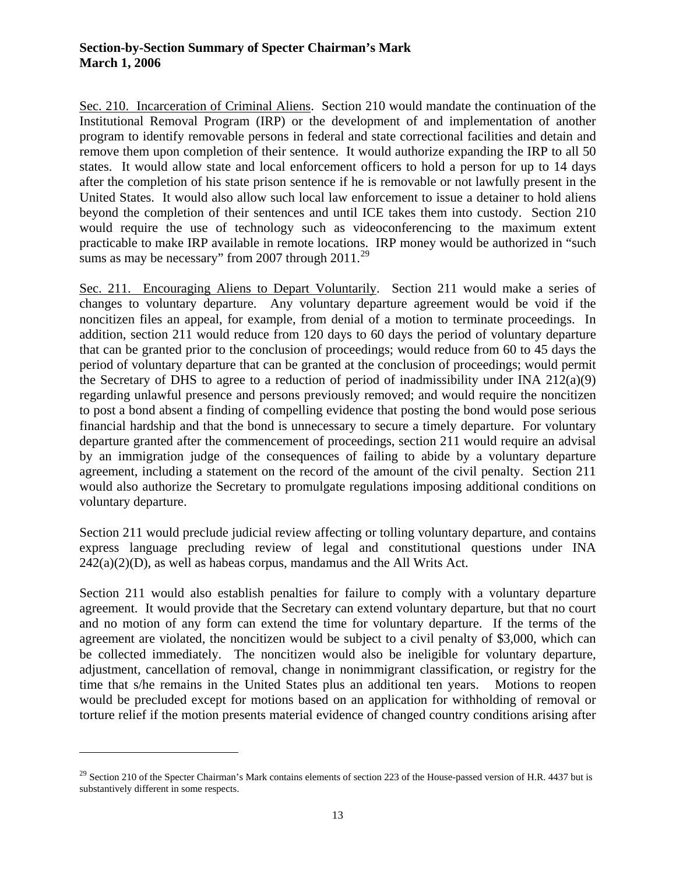Sec. 210. Incarceration of Criminal Aliens. Section 210 would mandate the continuation of the Institutional Removal Program (IRP) or the development of and implementation of another program to identify removable persons in federal and state correctional facilities and detain and remove them upon completion of their sentence. It would authorize expanding the IRP to all 50 states. It would allow state and local enforcement officers to hold a person for up to 14 days after the completion of his state prison sentence if he is removable or not lawfully present in the United States. It would also allow such local law enforcement to issue a detainer to hold aliens beyond the completion of their sentences and until ICE takes them into custody. Section 210 would require the use of technology such as videoconferencing to the maximum extent practicable to make IRP available in remote locations. IRP money would be authorized in "such sums as may be necessary" from 2007 through  $2011.^{29}$  $2011.^{29}$  $2011.^{29}$ 

Sec. 211. Encouraging Aliens to Depart Voluntarily. Section 211 would make a series of changes to voluntary departure. Any voluntary departure agreement would be void if the noncitizen files an appeal, for example, from denial of a motion to terminate proceedings. In addition, section 211 would reduce from 120 days to 60 days the period of voluntary departure that can be granted prior to the conclusion of proceedings; would reduce from 60 to 45 days the period of voluntary departure that can be granted at the conclusion of proceedings; would permit the Secretary of DHS to agree to a reduction of period of inadmissibility under INA 212(a)(9) regarding unlawful presence and persons previously removed; and would require the noncitizen to post a bond absent a finding of compelling evidence that posting the bond would pose serious financial hardship and that the bond is unnecessary to secure a timely departure. For voluntary departure granted after the commencement of proceedings, section 211 would require an advisal by an immigration judge of the consequences of failing to abide by a voluntary departure agreement, including a statement on the record of the amount of the civil penalty. Section 211 would also authorize the Secretary to promulgate regulations imposing additional conditions on voluntary departure.

Section 211 would preclude judicial review affecting or tolling voluntary departure, and contains express language precluding review of legal and constitutional questions under INA  $242(a)(2)(D)$ , as well as habeas corpus, mandamus and the All Writs Act.

Section 211 would also establish penalties for failure to comply with a voluntary departure agreement. It would provide that the Secretary can extend voluntary departure, but that no court and no motion of any form can extend the time for voluntary departure. If the terms of the agreement are violated, the noncitizen would be subject to a civil penalty of \$3,000, which can be collected immediately. The noncitizen would also be ineligible for voluntary departure, adjustment, cancellation of removal, change in nonimmigrant classification, or registry for the time that s/he remains in the United States plus an additional ten years. Motions to reopen would be precluded except for motions based on an application for withholding of removal or torture relief if the motion presents material evidence of changed country conditions arising after

<span id="page-12-0"></span> $^{29}$  Section 210 of the Specter Chairman's Mark contains elements of section 223 of the House-passed version of H.R. 4437 but is substantively different in some respects.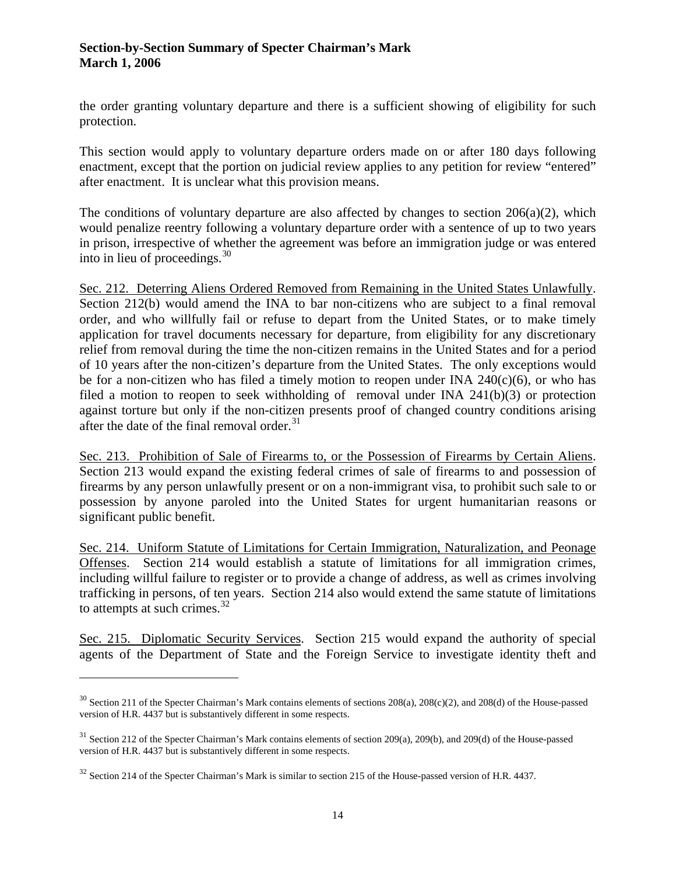the order granting voluntary departure and there is a sufficient showing of eligibility for such protection.

This section would apply to voluntary departure orders made on or after 180 days following enactment, except that the portion on judicial review applies to any petition for review "entered" after enactment. It is unclear what this provision means.

The conditions of voluntary departure are also affected by changes to section  $206(a)(2)$ , which would penalize reentry following a voluntary departure order with a sentence of up to two years in prison, irrespective of whether the agreement was before an immigration judge or was entered into in lieu of proceedings.  $30<sup>30</sup>$  $30<sup>30</sup>$ 

Sec. 212. Deterring Aliens Ordered Removed from Remaining in the United States Unlawfully. Section 212(b) would amend the INA to bar non-citizens who are subject to a final removal order, and who willfully fail or refuse to depart from the United States, or to make timely application for travel documents necessary for departure, from eligibility for any discretionary relief from removal during the time the non-citizen remains in the United States and for a period of 10 years after the non-citizen's departure from the United States. The only exceptions would be for a non-citizen who has filed a timely motion to reopen under INA  $240(c)(6)$ , or who has filed a motion to reopen to seek withholding of removal under INA 241(b)(3) or protection against torture but only if the non-citizen presents proof of changed country conditions arising after the date of the final removal order. $31$ 

Sec. 213. Prohibition of Sale of Firearms to, or the Possession of Firearms by Certain Aliens. Section 213 would expand the existing federal crimes of sale of firearms to and possession of firearms by any person unlawfully present or on a non-immigrant visa, to prohibit such sale to or possession by anyone paroled into the United States for urgent humanitarian reasons or significant public benefit.

Sec. 214. Uniform Statute of Limitations for Certain Immigration, Naturalization, and Peonage Offenses. Section 214 would establish a statute of limitations for all immigration crimes, including willful failure to register or to provide a change of address, as well as crimes involving trafficking in persons, of ten years. Section 214 also would extend the same statute of limitations to attempts at such crimes. $^{32}$  $^{32}$  $^{32}$ 

Sec. 215. Diplomatic Security Services. Section 215 would expand the authority of special agents of the Department of State and the Foreign Service to investigate identity theft and

<span id="page-13-0"></span> $30$  Section 211 of the Specter Chairman's Mark contains elements of sections 208(a), 208(c)(2), and 208(d) of the House-passed version of H.R. 4437 but is substantively different in some respects.

<span id="page-13-1"></span><sup>&</sup>lt;sup>31</sup> Section 212 of the Specter Chairman's Mark contains elements of section 209(a), 209(b), and 209(d) of the House-passed version of H.R. 4437 but is substantively different in some respects.

<span id="page-13-2"></span><sup>&</sup>lt;sup>32</sup> Section 214 of the Specter Chairman's Mark is similar to section 215 of the House-passed version of H.R. 4437.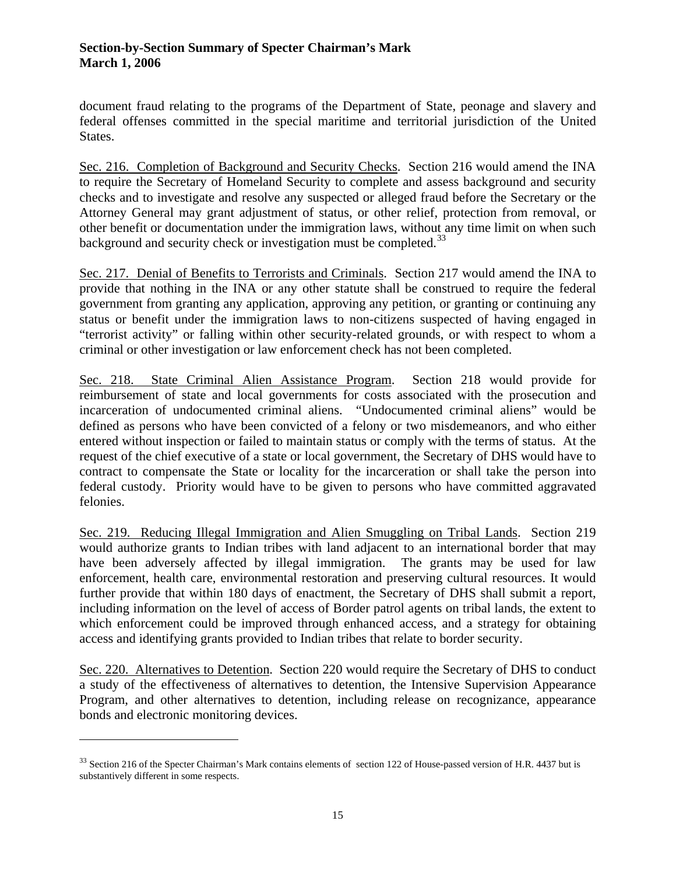document fraud relating to the programs of the Department of State, peonage and slavery and federal offenses committed in the special maritime and territorial jurisdiction of the United States.

Sec. 216. Completion of Background and Security Checks. Section 216 would amend the INA to require the Secretary of Homeland Security to complete and assess background and security checks and to investigate and resolve any suspected or alleged fraud before the Secretary or the Attorney General may grant adjustment of status, or other relief, protection from removal, or other benefit or documentation under the immigration laws, without any time limit on when such background and security check or investigation must be completed.<sup>[33](#page-14-0)</sup>

Sec. 217. Denial of Benefits to Terrorists and Criminals. Section 217 would amend the INA to provide that nothing in the INA or any other statute shall be construed to require the federal government from granting any application, approving any petition, or granting or continuing any status or benefit under the immigration laws to non-citizens suspected of having engaged in "terrorist activity" or falling within other security-related grounds, or with respect to whom a criminal or other investigation or law enforcement check has not been completed.

Sec. 218. State Criminal Alien Assistance Program. Section 218 would provide for reimbursement of state and local governments for costs associated with the prosecution and incarceration of undocumented criminal aliens. "Undocumented criminal aliens" would be defined as persons who have been convicted of a felony or two misdemeanors, and who either entered without inspection or failed to maintain status or comply with the terms of status. At the request of the chief executive of a state or local government, the Secretary of DHS would have to contract to compensate the State or locality for the incarceration or shall take the person into federal custody. Priority would have to be given to persons who have committed aggravated felonies.

Sec. 219. Reducing Illegal Immigration and Alien Smuggling on Tribal Lands. Section 219 would authorize grants to Indian tribes with land adjacent to an international border that may have been adversely affected by illegal immigration. The grants may be used for law enforcement, health care, environmental restoration and preserving cultural resources. It would further provide that within 180 days of enactment, the Secretary of DHS shall submit a report, including information on the level of access of Border patrol agents on tribal lands, the extent to which enforcement could be improved through enhanced access, and a strategy for obtaining access and identifying grants provided to Indian tribes that relate to border security.

Sec. 220. Alternatives to Detention. Section 220 would require the Secretary of DHS to conduct a study of the effectiveness of alternatives to detention, the Intensive Supervision Appearance Program, and other alternatives to detention, including release on recognizance, appearance bonds and electronic monitoring devices.

<span id="page-14-0"></span><sup>&</sup>lt;sup>33</sup> Section 216 of the Specter Chairman's Mark contains elements of section 122 of House-passed version of H.R. 4437 but is substantively different in some respects.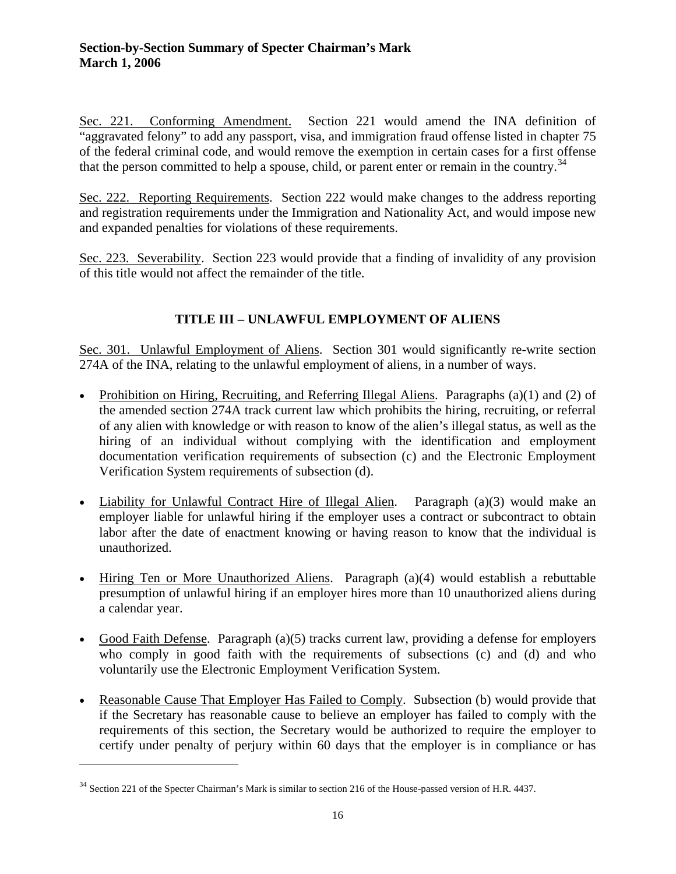Sec. 221. Conforming Amendment. Section 221 would amend the INA definition of "aggravated felony" to add any passport, visa, and immigration fraud offense listed in chapter 75 of the federal criminal code, and would remove the exemption in certain cases for a first offense that the person committed to help a spouse, child, or parent enter or remain in the country.<sup>[34](#page-15-0)</sup>

Sec. 222. Reporting Requirements. Section 222 would make changes to the address reporting and registration requirements under the Immigration and Nationality Act, and would impose new and expanded penalties for violations of these requirements.

Sec. 223. Severability. Section 223 would provide that a finding of invalidity of any provision of this title would not affect the remainder of the title.

# **TITLE III – UNLAWFUL EMPLOYMENT OF ALIENS**

Sec. 301. Unlawful Employment of Aliens. Section 301 would significantly re-write section 274A of the INA, relating to the unlawful employment of aliens, in a number of ways.

- Prohibition on Hiring, Recruiting, and Referring Illegal Aliens. Paragraphs (a)(1) and (2) of the amended section 274A track current law which prohibits the hiring, recruiting, or referral of any alien with knowledge or with reason to know of the alien's illegal status, as well as the hiring of an individual without complying with the identification and employment documentation verification requirements of subsection (c) and the Electronic Employment Verification System requirements of subsection (d).
- Liability for Unlawful Contract Hire of Illegal Alien. Paragraph (a)(3) would make an employer liable for unlawful hiring if the employer uses a contract or subcontract to obtain labor after the date of enactment knowing or having reason to know that the individual is unauthorized.
- Hiring Ten or More Unauthorized Aliens. Paragraph (a)(4) would establish a rebuttable presumption of unlawful hiring if an employer hires more than 10 unauthorized aliens during a calendar year.
- Good Faith Defense. Paragraph (a)(5) tracks current law, providing a defense for employers who comply in good faith with the requirements of subsections (c) and (d) and who voluntarily use the Electronic Employment Verification System.
- Reasonable Cause That Employer Has Failed to Comply. Subsection (b) would provide that if the Secretary has reasonable cause to believe an employer has failed to comply with the requirements of this section, the Secretary would be authorized to require the employer to certify under penalty of perjury within 60 days that the employer is in compliance or has

<span id="page-15-0"></span><sup>&</sup>lt;sup>34</sup> Section 221 of the Specter Chairman's Mark is similar to section 216 of the House-passed version of H.R. 4437.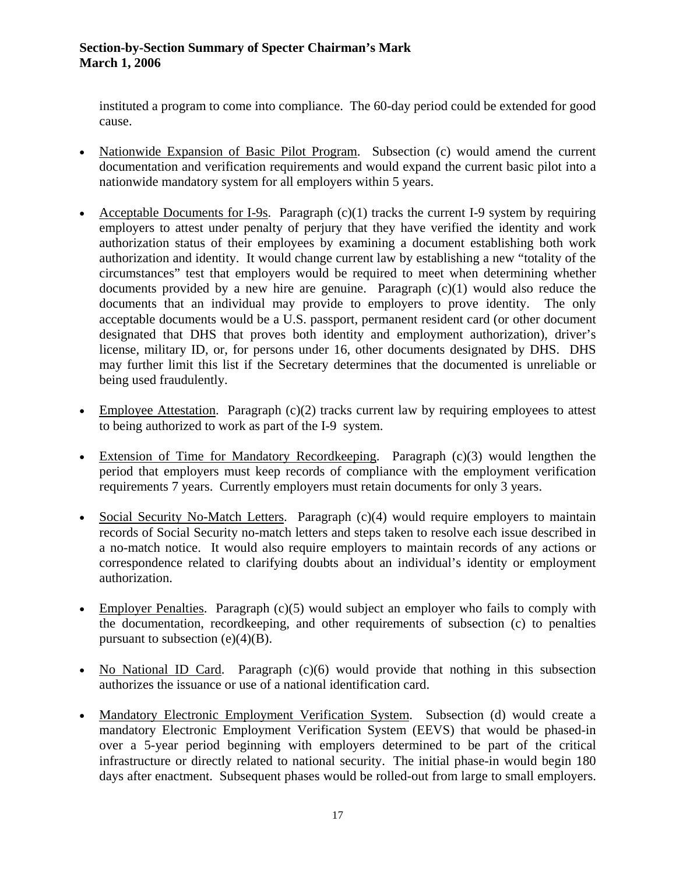instituted a program to come into compliance. The 60-day period could be extended for good cause.

- Nationwide Expansion of Basic Pilot Program. Subsection (c) would amend the current documentation and verification requirements and would expand the current basic pilot into a nationwide mandatory system for all employers within 5 years.
- Acceptable Documents for I-9s. Paragraph  $(c)(1)$  tracks the current I-9 system by requiring employers to attest under penalty of perjury that they have verified the identity and work authorization status of their employees by examining a document establishing both work authorization and identity. It would change current law by establishing a new "totality of the circumstances" test that employers would be required to meet when determining whether documents provided by a new hire are genuine. Paragraph  $(c)(1)$  would also reduce the documents that an individual may provide to employers to prove identity. The only acceptable documents would be a U.S. passport, permanent resident card (or other document designated that DHS that proves both identity and employment authorization), driver's license, military ID, or, for persons under 16, other documents designated by DHS. DHS may further limit this list if the Secretary determines that the documented is unreliable or being used fraudulently.
- Employee Attestation. Paragraph (c)(2) tracks current law by requiring employees to attest to being authorized to work as part of the I-9 system.
- Extension of Time for Mandatory Recordkeeping. Paragraph (c)(3) would lengthen the period that employers must keep records of compliance with the employment verification requirements 7 years. Currently employers must retain documents for only 3 years.
- Social Security No-Match Letters. Paragraph (c)(4) would require employers to maintain records of Social Security no-match letters and steps taken to resolve each issue described in a no-match notice. It would also require employers to maintain records of any actions or correspondence related to clarifying doubts about an individual's identity or employment authorization.
- Employer Penalties. Paragraph (c)(5) would subject an employer who fails to comply with the documentation, recordkeeping, and other requirements of subsection (c) to penalties pursuant to subsection  $(e)(4)(B)$ .
- No National ID Card. Paragraph (c)(6) would provide that nothing in this subsection authorizes the issuance or use of a national identification card.
- Mandatory Electronic Employment Verification System. Subsection (d) would create a mandatory Electronic Employment Verification System (EEVS) that would be phased-in over a 5-year period beginning with employers determined to be part of the critical infrastructure or directly related to national security. The initial phase-in would begin 180 days after enactment. Subsequent phases would be rolled-out from large to small employers.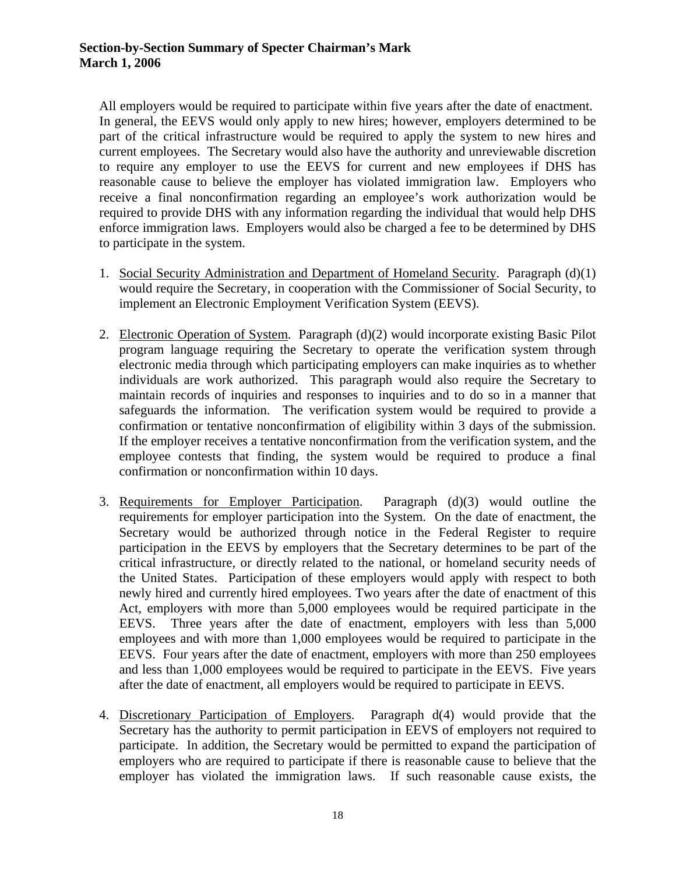All employers would be required to participate within five years after the date of enactment. In general, the EEVS would only apply to new hires; however, employers determined to be part of the critical infrastructure would be required to apply the system to new hires and current employees. The Secretary would also have the authority and unreviewable discretion to require any employer to use the EEVS for current and new employees if DHS has reasonable cause to believe the employer has violated immigration law. Employers who receive a final nonconfirmation regarding an employee's work authorization would be required to provide DHS with any information regarding the individual that would help DHS enforce immigration laws. Employers would also be charged a fee to be determined by DHS to participate in the system.

- 1. Social Security Administration and Department of Homeland Security . Paragraph (d)(1) would require the Secretary, in cooperation with the Commissioner of Social Security, to implement an Electronic Employment Verification System (EEVS).
- 2. Electronic Operation of System. Paragraph (d)(2) would incorporate existing Basic Pilot program language requiring the Secretary to operate the verification system through electronic media through which participating employers can make inquiries as to whether individuals are work authorized. This paragraph would also require the Secretary to maintain records of inquiries and responses to inquiries and to do so in a manner that safeguards the information. The verification system would be required to provide a confirmation or tentative nonconfirmation of eligibility within 3 days of the submission. If the employer receives a tentative nonconfirmation from the verification system, and the employee contests that finding, the system would be required to produce a final confirmation or nonconfirmation within 10 days.
- 3. Requirements for Employer Participation Paragraph  $(d)(3)$  would outline the requirements for employer participation into the System. On the date of enactment, the Secretary would be authorized through notice in the Federal Register to require participation in the EEVS by employers that the Secretary determines to be part of the critical infrastructure, or directly related to the national, or homeland security needs of the United States. Participation of these employers would apply with respect to both newly hired and currently hired employees. Two years after the date of enactment of this Act, employers with more than 5,000 employees would be required participate in the EEVS. Three years after the date of enactment, employers with less than 5,000 employees and with more than 1,000 employees would be required to participate in the EEVS. Four years after the date of enactment, employers with more than 250 employees and less than 1,000 employees would be required to participate in the EEVS. Five years after the date of enactment, all employers would be required to participate in EEVS.
- 4. Discretionary Participation of Employers . Paragraph d(4) would provide that the Secretary has the authority to permit participation in EEVS of employers not required to participate. In addition, the Secretary would be permitted to expand the participation of employers who are required to participate if there is reasonable cause to believe that the employer has violated the immigration laws. If such reasonable cause exists, the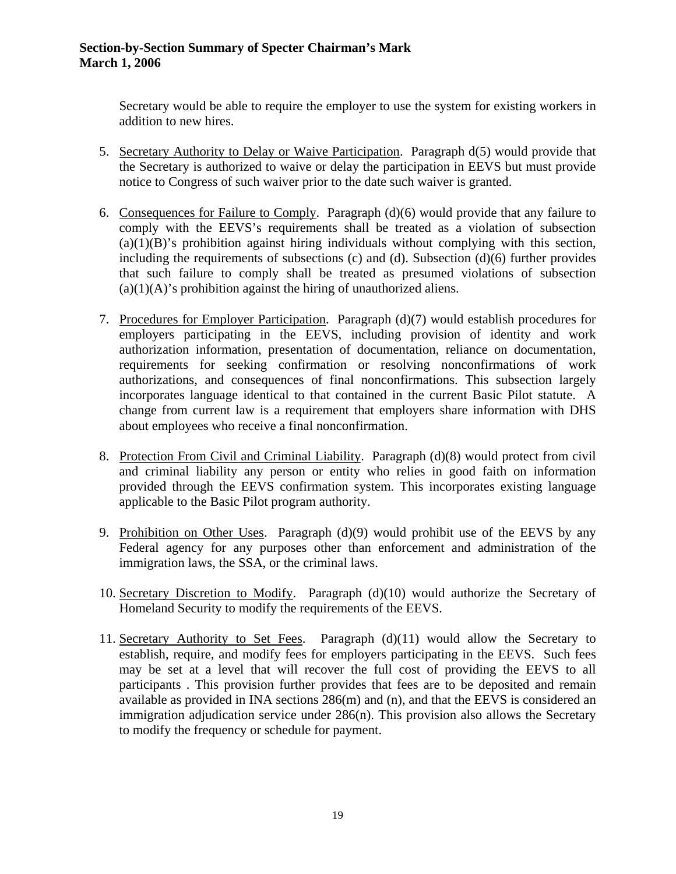Secretary would be able to require the employer to use the system for existing workers in addition to new hires.

- 5. Secretary Authority to Delay or Waive Participation. Paragraph d(5) would provide that the Secretary is authorized to waive or delay the participation in EEVS but must provide notice to Congress of such waiver prior to the date such waiver is granted.
- 6. Consequences for Failure to Comply. Paragraph  $(d)(6)$  would provide that any failure to comply with the EEVS's requirements shall be treated as a violation of subsection  $(a)(1)(B)$ 's prohibition against hiring individuals without complying with this section, including the requirements of subsections (c) and (d). Subsection (d)(6) further provides that such failure to comply shall be treated as presumed violations of subsection  $(a)(1)(A)$ 's prohibition against the hiring of unauthorized aliens.
- 7. Procedures for Employer Participation. Paragraph (d)(7) would establish procedures for employers participating in the EEVS, including provision of identity and work authorization information, presentation of documentation, reliance on documentation, requirements for seeking confirmation or resolving nonconfirmations of work authorizations, and consequences of final nonconfirmations. This subsection largely incorporates language identical to that contained in the current Basic Pilot statute. A change from current law is a requirement that employers share information with DHS about employees who receive a final nonconfirmation.
- 8. Protection From Civil and Criminal Liability. Paragraph (d)(8) would protect from civil and criminal liability any person or entity who relies in good faith on information provided through the EEVS confirmation system. This incorporates existing language applicable to the Basic Pilot program authority.
- 9. Prohibition on Other Uses. Paragraph (d)(9) would prohibit use of the EEVS by any Federal agency for any purposes other than enforcement and administration of the immigration laws, the SSA, or the criminal laws.
- 10. Secretary Discretion to Modify. Paragraph (d)(10) would authorize the Secretary of Homeland Security to modify the requirements of the EEVS.
- 11. Secretary Authority to Set Fees . Paragraph (d)(11) would allow the Secretary to establish, require, and modify fees for employers participating in the EEVS. Such fees may be set at a level that will recover the full cost of providing the EEVS to all participants . This provision further provides that fees are to be deposited and remain available as provided in INA sections 286(m) and (n), and that the EEVS is considered an immigration adjudication service under 286(n). This provision also allows the Secretary to modify the frequency or schedule for payment.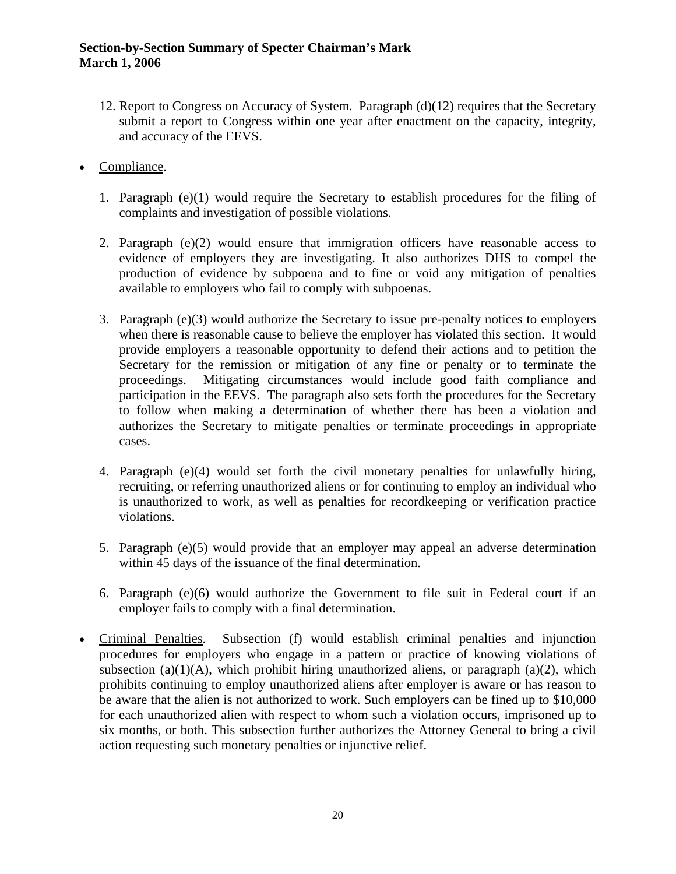- 12. Report to Congress on Accuracy of System. Paragraph (d)(12) requires that the Secretary submit a report to Congress within one year after enactment on the capacity, integrity, and accuracy of the EEVS.
- Compliance.
	- 1. Paragraph (e)(1) would require the Secretary to establish procedures for the filing of complaints and investigation of possible violations.
	- 2. Paragraph (e)(2) would ensure that immigration officers have reasonable access to evidence of employers they are investigating. It also authorizes DHS to compel the production of evidence by subpoena and to fine or void any mitigation of penalties available to employers who fail to comply with subpoenas.
	- 3. Paragraph (e)(3) would authorize the Secretary to issue pre-penalty notices to employers when there is reasonable cause to believe the employer has violated this section. It would provide employers a reasonable opportunity to defend their actions and to petition the Secretary for the remission or mitigation of any fine or penalty or to terminate the proceedings. Mitigating circumstances would include good faith compliance and participation in the EEVS. The paragraph also sets forth the procedures for the Secretary to follow when making a determination of whether there has been a violation and authorizes the Secretary to mitigate penalties or terminate proceedings in appropriate cases.
	- 4. Paragraph (e)(4) would set forth the civil monetary penalties for unlawfully hiring, recruiting, or referring unauthorized aliens or for continuing to employ an individual who is unauthorized to work, as well as penalties for recordkeeping or verification practice violations.
	- 5. Paragraph (e)(5) would provide that an employer may appeal an adverse determination within 45 days of the issuance of the final determination.
	- 6. Paragraph (e)(6) would authorize the Government to file suit in Federal court if an employer fails to comply with a final determination.
- Criminal Penalties. Subsection (f) would establish criminal penalties and injunction procedures for employers who engage in a pattern or practice of knowing violations of subsection (a)(1)(A), which prohibit hiring unauthorized aliens, or paragraph (a)(2), which prohibits continuing to employ unauthorized aliens after employer is aware or has reason to be aware that the alien is not authorized to work. Such employers can be fined up to \$10,000 for each unauthorized alien with respect to whom such a violation occurs, imprisoned up to six months, or both. This subsection further authorizes the Attorney General to bring a civil action requesting such monetary penalties or injunctive relief.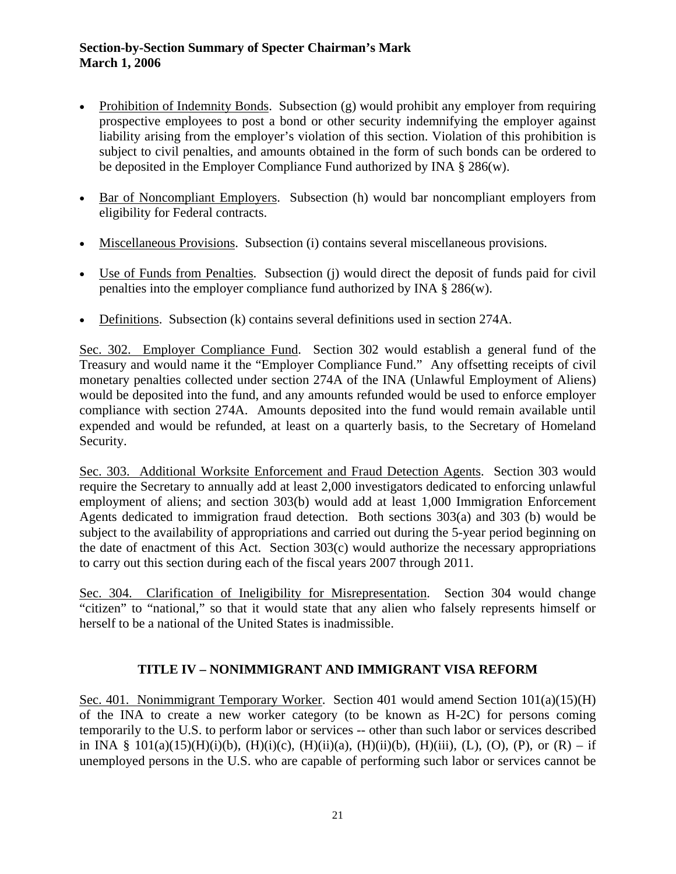- Prohibition of Indemnity Bonds. Subsection (g) would prohibit any employer from requiring prospective employees to post a bond or other security indemnifying the employer against liability arising from the employer's violation of this section. Violation of this prohibition is subject to civil penalties, and amounts obtained in the form of such bonds can be ordered to be deposited in the Employer Compliance Fund authorized by INA § 286(w).
- Bar of Noncompliant Employers. Subsection (h) would bar noncompliant employers from eligibility for Federal contracts.
- Miscellaneous Provisions. Subsection (i) contains several miscellaneous provisions.
- Use of Funds from Penalties. Subsection (j) would direct the deposit of funds paid for civil penalties into the employer compliance fund authorized by INA § 286(w).
- Definitions. Subsection (k) contains several definitions used in section 274A.

Sec. 302. Employer Compliance Fund. Section 302 would establish a general fund of the Treasury and would name it the "Employer Compliance Fund." Any offsetting receipts of civil monetary penalties collected under section 274A of the INA (Unlawful Employment of Aliens) would be deposited into the fund, and any amounts refunded would be used to enforce employer compliance with section 274A. Amounts deposited into the fund would remain available until expended and would be refunded, at least on a quarterly basis, to the Secretary of Homeland Security.

Sec. 303. Additional Worksite Enforcement and Fraud Detection Agents. Section 303 would require the Secretary to annually add at least 2,000 investigators dedicated to enforcing unlawful employment of aliens; and section 303(b) would add at least 1,000 Immigration Enforcement Agents dedicated to immigration fraud detection. Both sections 303(a) and 303 (b) would be subject to the availability of appropriations and carried out during the 5-year period beginning on the date of enactment of this Act. Section 303(c) would authorize the necessary appropriations to carry out this section during each of the fiscal years 2007 through 2011.

Sec. 304. Clarification of Ineligibility for Misrepresentation. Section 304 would change "citizen" to "national," so that it would state that any alien who falsely represents himself or herself to be a national of the United States is inadmissible.

## **TITLE IV – NONIMMIGRANT AND IMMIGRANT VISA REFORM**

Sec. 401. Nonimmigrant Temporary Worker. Section 401 would amend Section 101(a)(15)(H) of the INA to create a new worker category (to be known as H-2C) for persons coming temporarily to the U.S. to perform labor or services -- other than such labor or services described in INA § 101(a)(15)(H)(i)(b), (H)(i)(c), (H)(ii)(a), (H)(ii)(b), (H)(iii), (L), (O), (P), or (R) – if unemployed persons in the U.S. who are capable of performing such labor or services cannot be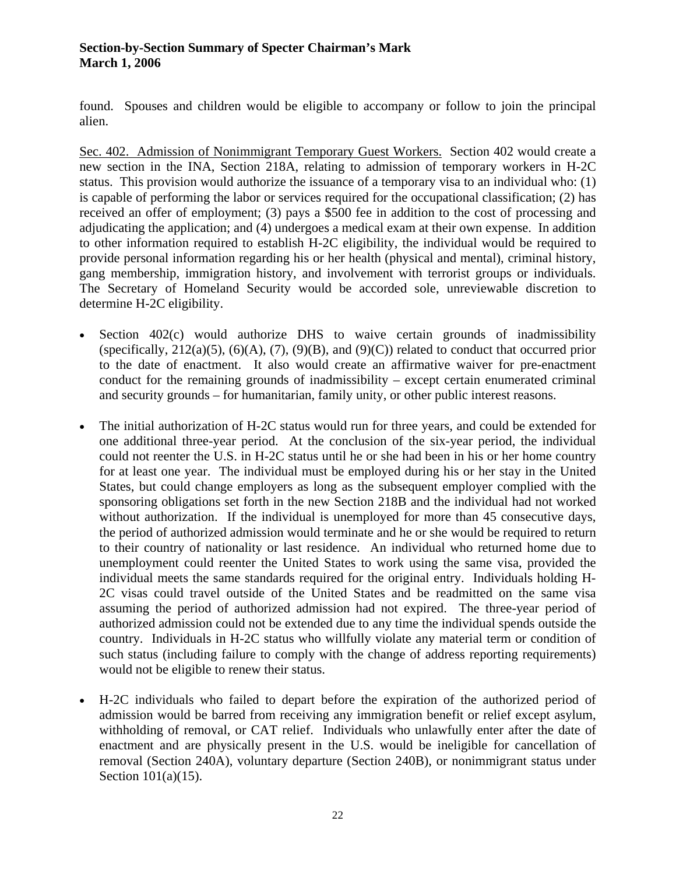found. Spouses and children would be eligible to accompany or follow to join the principal alien.

Sec. 402. Admission of Nonimmigrant Temporary Guest Workers. Section 402 would create a new section in the INA, Section 218A, relating to admission of temporary workers in H-2C status. This provision would authorize the issuance of a temporary visa to an individual who: (1) is capable of performing the labor or services required for the occupational classification; (2) has received an offer of employment; (3) pays a \$500 fee in addition to the cost of processing and adjudicating the application; and (4) undergoes a medical exam at their own expense. In addition to other information required to establish H-2C eligibility, the individual would be required to provide personal information regarding his or her health (physical and mental), criminal history, gang membership, immigration history, and involvement with terrorist groups or individuals. The Secretary of Homeland Security would be accorded sole, unreviewable discretion to determine H-2C eligibility.

- Section 402(c) would authorize DHS to waive certain grounds of inadmissibility (specifically,  $212(a)(5)$ ,  $(6)(A)$ ,  $(7)$ ,  $(9)(B)$ , and  $(9)(C)$ ) related to conduct that occurred prior to the date of enactment. It also would create an affirmative waiver for pre-enactment conduct for the remaining grounds of inadmissibility – except certain enumerated criminal and security grounds – for humanitarian, family unity, or other public interest reasons.
- The initial authorization of H-2C status would run for three years, and could be extended for one additional three-year period. At the conclusion of the six-year period, the individual could not reenter the U.S. in H-2C status until he or she had been in his or her home country for at least one year. The individual must be employed during his or her stay in the United States, but could change employers as long as the subsequent employer complied with the sponsoring obligations set forth in the new Section 218B and the individual had not worked without authorization. If the individual is unemployed for more than 45 consecutive days, the period of authorized admission would terminate and he or she would be required to return to their country of nationality or last residence. An individual who returned home due to unemployment could reenter the United States to work using the same visa, provided the individual meets the same standards required for the original entry. Individuals holding H-2C visas could travel outside of the United States and be readmitted on the same visa assuming the period of authorized admission had not expired. The three-year period of authorized admission could not be extended due to any time the individual spends outside the country. Individuals in H-2C status who willfully violate any material term or condition of such status (including failure to comply with the change of address reporting requirements) would not be eligible to renew their status.
- H-2C individuals who failed to depart before the expiration of the authorized period of admission would be barred from receiving any immigration benefit or relief except asylum, withholding of removal, or CAT relief. Individuals who unlawfully enter after the date of enactment and are physically present in the U.S. would be ineligible for cancellation of removal (Section 240A), voluntary departure (Section 240B), or nonimmigrant status under Section 101(a)(15).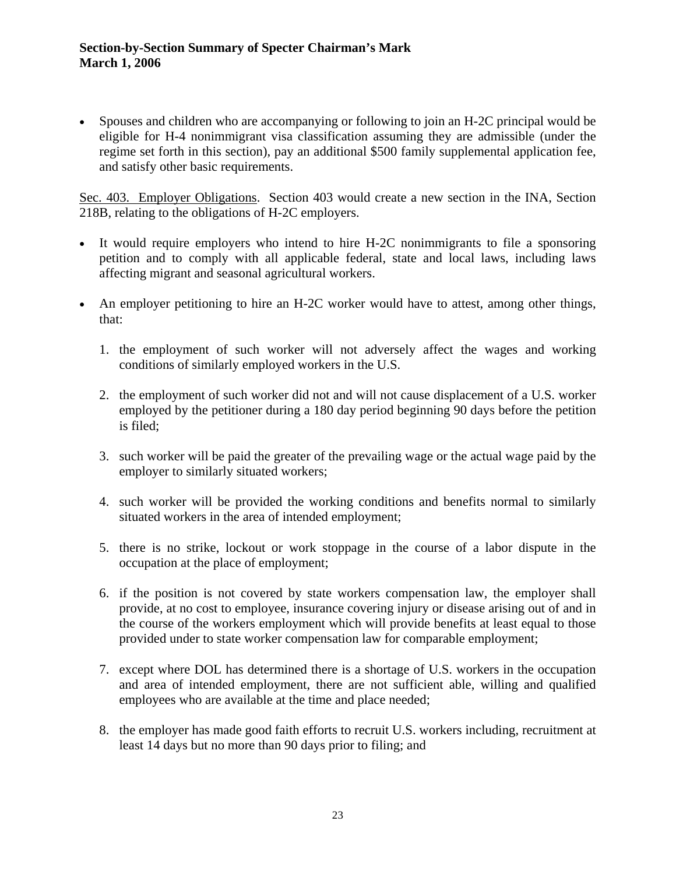• Spouses and children who are accompanying or following to join an H-2C principal would be eligible for H-4 nonimmigrant visa classification assuming they are admissible (under the regime set forth in this section), pay an additional \$500 family supplemental application fee, and satisfy other basic requirements.

Sec. 403. Employer Obligations. Section 403 would create a new section in the INA, Section 218B, relating to the obligations of H-2C employers.

- It would require employers who intend to hire H-2C nonimmigrants to file a sponsoring petition and to comply with all applicable federal, state and local laws, including laws affecting migrant and seasonal agricultural workers.
- An employer petitioning to hire an H-2C worker would have to attest, among other things, that:
	- 1. the employment of such worker will not adversely affect the wages and working conditions of similarly employed workers in the U.S.
	- 2. the employment of such worker did not and will not cause displacement of a U.S. worker employed by the petitioner during a 180 day period beginning 90 days before the petition is filed;
	- 3. such worker will be paid the greater of the prevailing wage or the actual wage paid by the employer to similarly situated workers;
	- 4. such worker will be provided the working conditions and benefits normal to similarly situated workers in the area of intended employment;
	- 5. there is no strike, lockout or work stoppage in the course of a labor dispute in the occupation at the place of employment;
	- 6. if the position is not covered by state workers compensation law, the employer shall provide, at no cost to employee, insurance covering injury or disease arising out of and in the course of the workers employment which will provide benefits at least equal to those provided under to state worker compensation law for comparable employment;
	- 7. except where DOL has determined there is a shortage of U.S. workers in the occupation and area of intended employment, there are not sufficient able, willing and qualified employees who are available at the time and place needed;
	- 8. the employer has made good faith efforts to recruit U.S. workers including, recruitment at least 14 days but no more than 90 days prior to filing; and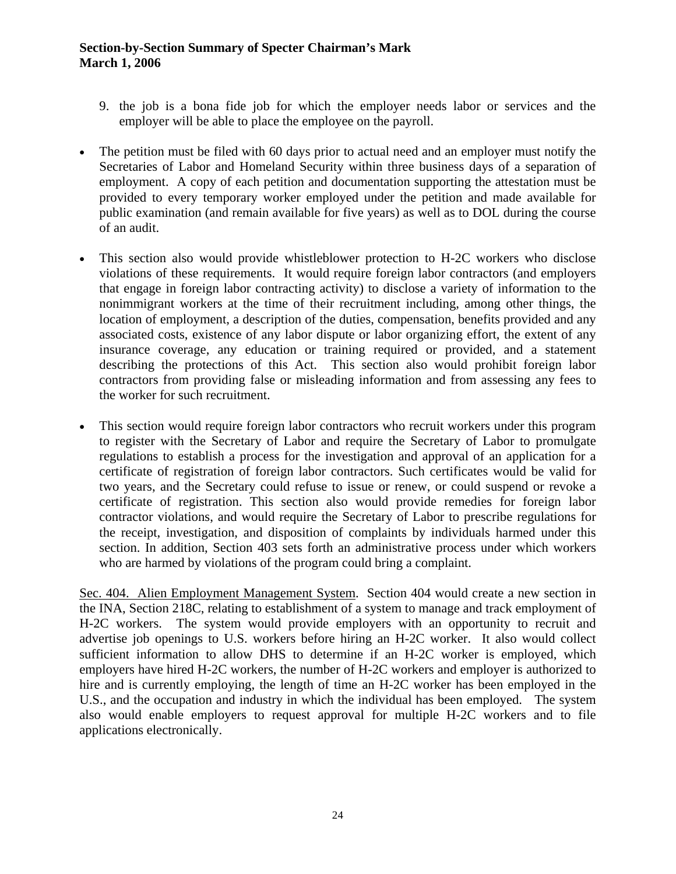- 9. the job is a bona fide job for which the employer needs labor or services and the employer will be able to place the employee on the payroll.
- The petition must be filed with 60 days prior to actual need and an employer must notify the Secretaries of Labor and Homeland Security within three business days of a separation of employment. A copy of each petition and documentation supporting the attestation must be provided to every temporary worker employed under the petition and made available for public examination (and remain available for five years) as well as to DOL during the course of an audit.
- This section also would provide whistleblower protection to H-2C workers who disclose violations of these requirements. It would require foreign labor contractors (and employers that engage in foreign labor contracting activity) to disclose a variety of information to the nonimmigrant workers at the time of their recruitment including, among other things, the location of employment, a description of the duties, compensation, benefits provided and any associated costs, existence of any labor dispute or labor organizing effort, the extent of any insurance coverage, any education or training required or provided, and a statement describing the protections of this Act. This section also would prohibit foreign labor contractors from providing false or misleading information and from assessing any fees to the worker for such recruitment.
- This section would require foreign labor contractors who recruit workers under this program to register with the Secretary of Labor and require the Secretary of Labor to promulgate regulations to establish a process for the investigation and approval of an application for a certificate of registration of foreign labor contractors. Such certificates would be valid for two years, and the Secretary could refuse to issue or renew, or could suspend or revoke a certificate of registration. This section also would provide remedies for foreign labor contractor violations, and would require the Secretary of Labor to prescribe regulations for the receipt, investigation, and disposition of complaints by individuals harmed under this section. In addition, Section 403 sets forth an administrative process under which workers who are harmed by violations of the program could bring a complaint.

Sec. 404. Alien Employment Management System. Section 404 would create a new section in the INA, Section 218C, relating to establishment of a system to manage and track employment of H-2C workers. The system would provide employers with an opportunity to recruit and advertise job openings to U.S. workers before hiring an H-2C worker. It also would collect sufficient information to allow DHS to determine if an H-2C worker is employed, which employers have hired H-2C workers, the number of H-2C workers and employer is authorized to hire and is currently employing, the length of time an H-2C worker has been employed in the U.S., and the occupation and industry in which the individual has been employed. The system also would enable employers to request approval for multiple H-2C workers and to file applications electronically.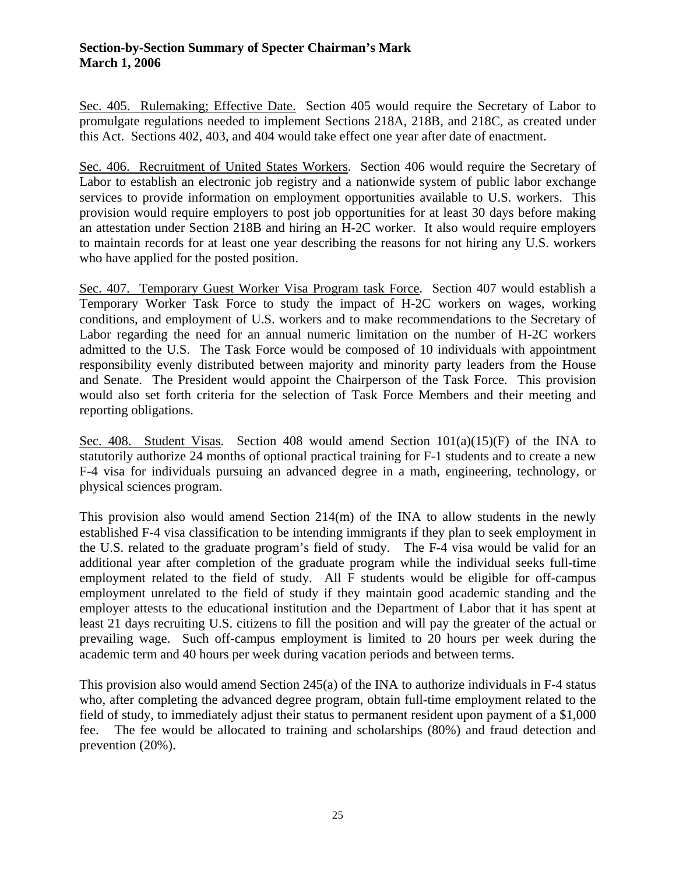Sec. 405. Rulemaking; Effective Date. Section 405 would require the Secretary of Labor to promulgate regulations needed to implement Sections 218A, 218B, and 218C, as created under this Act. Sections 402, 403, and 404 would take effect one year after date of enactment.

Sec. 406. Recruitment of United States Workers. Section 406 would require the Secretary of Labor to establish an electronic job registry and a nationwide system of public labor exchange services to provide information on employment opportunities available to U.S. workers. This provision would require employers to post job opportunities for at least 30 days before making an attestation under Section 218B and hiring an H-2C worker. It also would require employers to maintain records for at least one year describing the reasons for not hiring any U.S. workers who have applied for the posted position.

Sec. 407. Temporary Guest Worker Visa Program task Force. Section 407 would establish a Temporary Worker Task Force to study the impact of H-2C workers on wages, working conditions, and employment of U.S. workers and to make recommendations to the Secretary of Labor regarding the need for an annual numeric limitation on the number of H-2C workers admitted to the U.S. The Task Force would be composed of 10 individuals with appointment responsibility evenly distributed between majority and minority party leaders from the House and Senate. The President would appoint the Chairperson of the Task Force. This provision would also set forth criteria for the selection of Task Force Members and their meeting and reporting obligations.

Sec. 408. Student Visas. Section 408 would amend Section  $101(a)(15)(F)$  of the INA to statutorily authorize 24 months of optional practical training for F-1 students and to create a new F-4 visa for individuals pursuing an advanced degree in a math, engineering, technology, or physical sciences program.

This provision also would amend Section 214(m) of the INA to allow students in the newly established F-4 visa classification to be intending immigrants if they plan to seek employment in the U.S. related to the graduate program's field of study. The F-4 visa would be valid for an additional year after completion of the graduate program while the individual seeks full-time employment related to the field of study. All F students would be eligible for off-campus employment unrelated to the field of study if they maintain good academic standing and the employer attests to the educational institution and the Department of Labor that it has spent at least 21 days recruiting U.S. citizens to fill the position and will pay the greater of the actual or prevailing wage. Such off-campus employment is limited to 20 hours per week during the academic term and 40 hours per week during vacation periods and between terms.

This provision also would amend Section  $245(a)$  of the INA to authorize individuals in F-4 status who, after completing the advanced degree program, obtain full-time employment related to the field of study, to immediately adjust their status to permanent resident upon payment of a \$1,000 fee. The fee would be allocated to training and scholarships (80%) and fraud detection and prevention (20%).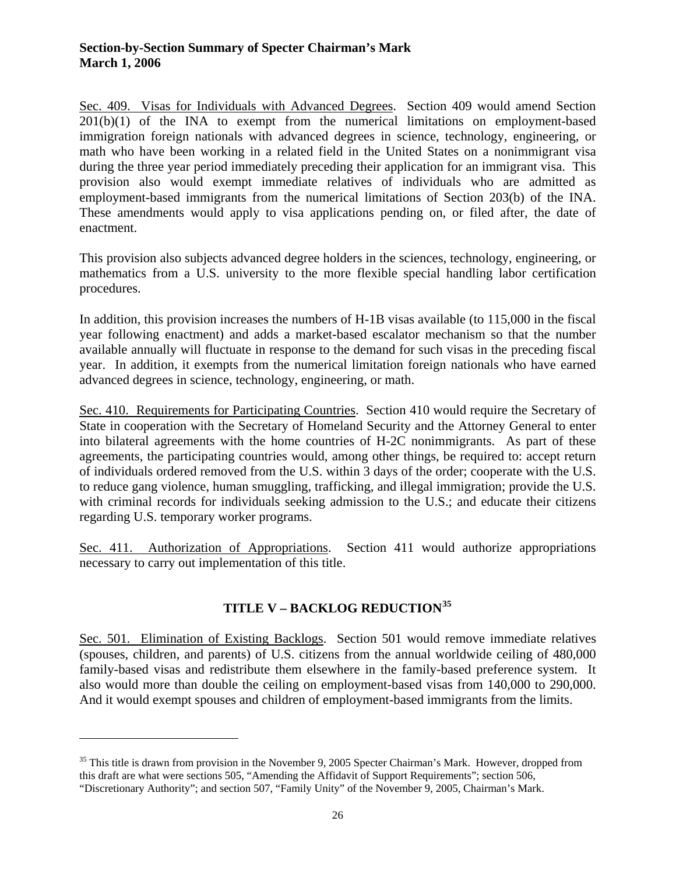Sec. 409. Visas for Individuals with Advanced Degrees. Section 409 would amend Section  $201(b)(1)$  of the INA to exempt from the numerical limitations on employment-based immigration foreign nationals with advanced degrees in science, technology, engineering, or math who have been working in a related field in the United States on a nonimmigrant visa during the three year period immediately preceding their application for an immigrant visa. This provision also would exempt immediate relatives of individuals who are admitted as employment-based immigrants from the numerical limitations of Section 203(b) of the INA. These amendments would apply to visa applications pending on, or filed after, the date of enactment.

This provision also subjects advanced degree holders in the sciences, technology, engineering, or mathematics from a U.S. university to the more flexible special handling labor certification procedures.

In addition, this provision increases the numbers of H-1B visas available (to 115,000 in the fiscal year following enactment) and adds a market-based escalator mechanism so that the number available annually will fluctuate in response to the demand for such visas in the preceding fiscal year. In addition, it exempts from the numerical limitation foreign nationals who have earned advanced degrees in science, technology, engineering, or math.

Sec. 410. Requirements for Participating Countries. Section 410 would require the Secretary of State in cooperation with the Secretary of Homeland Security and the Attorney General to enter into bilateral agreements with the home countries of H-2C nonimmigrants. As part of these agreements, the participating countries would, among other things, be required to: accept return of individuals ordered removed from the U.S. within 3 days of the order; cooperate with the U.S. to reduce gang violence, human smuggling, trafficking, and illegal immigration; provide the U.S. with criminal records for individuals seeking admission to the U.S.; and educate their citizens regarding U.S. temporary worker programs.

Sec. 411. Authorization of Appropriations. Section 411 would authorize appropriations necessary to carry out implementation of this title.

# **TITLE V – BACKLOG REDUCTION[35](#page-25-0)**

Sec. 501. Elimination of Existing Backlogs. Section 501 would remove immediate relatives (spouses, children, and parents) of U.S. citizens from the annual worldwide ceiling of 480,000 family-based visas and redistribute them elsewhere in the family-based preference system. It also would more than double the ceiling on employment-based visas from 140,000 to 290,000. And it would exempt spouses and children of employment-based immigrants from the limits.

<span id="page-25-0"></span><sup>&</sup>lt;sup>35</sup> This title is drawn from provision in the November 9, 2005 Specter Chairman's Mark. However, dropped from this draft are what were sections 505, "Amending the Affidavit of Support Requirements"; section 506, "Discretionary Authority"; and section 507, "Family Unity" of the November 9, 2005, Chairman's Mark.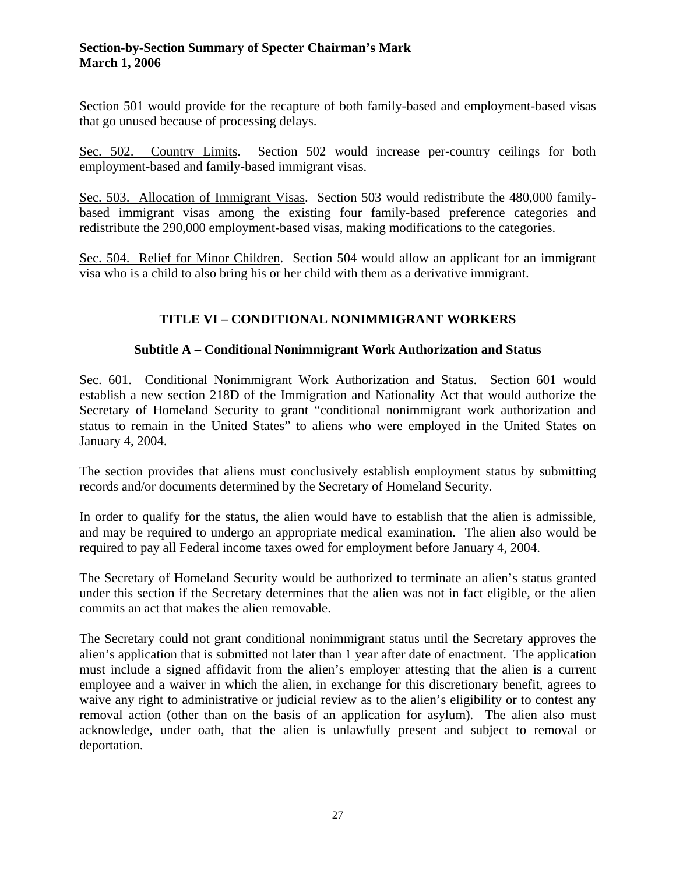Section 501 would provide for the recapture of both family-based and employment-based visas that go unused because of processing delays.

Sec. 502. Country Limits. Section 502 would increase per-country ceilings for both employment-based and family-based immigrant visas.

Sec. 503. Allocation of Immigrant Visas. Section 503 would redistribute the 480,000 familybased immigrant visas among the existing four family-based preference categories and redistribute the 290,000 employment-based visas, making modifications to the categories.

Sec. 504. Relief for Minor Children. Section 504 would allow an applicant for an immigrant visa who is a child to also bring his or her child with them as a derivative immigrant.

# **TITLE VI – CONDITIONAL NONIMMIGRANT WORKERS**

#### **Subtitle A – Conditional Nonimmigrant Work Authorization and Status**

Sec. 601. Conditional Nonimmigrant Work Authorization and Status. Section 601 would establish a new section 218D of the Immigration and Nationality Act that would authorize the Secretary of Homeland Security to grant "conditional nonimmigrant work authorization and status to remain in the United States" to aliens who were employed in the United States on January 4, 2004.

The section provides that aliens must conclusively establish employment status by submitting records and/or documents determined by the Secretary of Homeland Security.

In order to qualify for the status, the alien would have to establish that the alien is admissible, and may be required to undergo an appropriate medical examination. The alien also would be required to pay all Federal income taxes owed for employment before January 4, 2004.

The Secretary of Homeland Security would be authorized to terminate an alien's status granted under this section if the Secretary determines that the alien was not in fact eligible, or the alien commits an act that makes the alien removable.

The Secretary could not grant conditional nonimmigrant status until the Secretary approves the alien's application that is submitted not later than 1 year after date of enactment. The application must include a signed affidavit from the alien's employer attesting that the alien is a current employee and a waiver in which the alien, in exchange for this discretionary benefit, agrees to waive any right to administrative or judicial review as to the alien's eligibility or to contest any removal action (other than on the basis of an application for asylum). The alien also must acknowledge, under oath, that the alien is unlawfully present and subject to removal or deportation.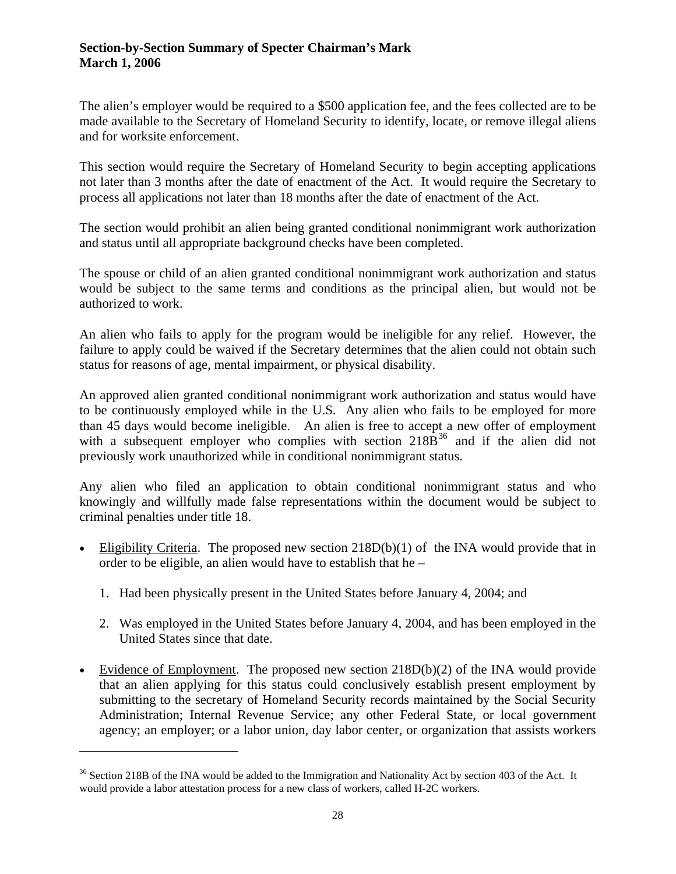The alien's employer would be required to a \$500 application fee, and the fees collected are to be made available to the Secretary of Homeland Security to identify, locate, or remove illegal aliens and for worksite enforcement.

This section would require the Secretary of Homeland Security to begin accepting applications not later than 3 months after the date of enactment of the Act. It would require the Secretary to process all applications not later than 18 months after the date of enactment of the Act.

The section would prohibit an alien being granted conditional nonimmigrant work authorization and status until all appropriate background checks have been completed.

The spouse or child of an alien granted conditional nonimmigrant work authorization and status would be subject to the same terms and conditions as the principal alien, but would not be authorized to work.

An alien who fails to apply for the program would be ineligible for any relief. However, the failure to apply could be waived if the Secretary determines that the alien could not obtain such status for reasons of age, mental impairment, or physical disability.

An approved alien granted conditional nonimmigrant work authorization and status would have to be continuously employed while in the U.S. Any alien who fails to be employed for more than 45 days would become ineligible. An alien is free to accept a new offer of employment with a subsequent employer who complies with section  $218B^{36}$  $218B^{36}$  $218B^{36}$  and if the alien did not previously work unauthorized while in conditional nonimmigrant status.

Any alien who filed an application to obtain conditional nonimmigrant status and who knowingly and willfully made false representations within the document would be subject to criminal penalties under title 18.

- Eligibility Criteria. The proposed new section  $218D(b)(1)$  of the INA would provide that in order to be eligible, an alien would have to establish that he –
	- 1. Had been physically present in the United States before January 4, 2004; and
	- 2. Was employed in the United States before January 4, 2004, and has been employed in the United States since that date.
- Evidence of Employment. The proposed new section  $218D(b)(2)$  of the INA would provide that an alien applying for this status could conclusively establish present employment by submitting to the secretary of Homeland Security records maintained by the Social Security Administration; Internal Revenue Service; any other Federal State, or local government agency; an employer; or a labor union, day labor center, or organization that assists workers

l

<span id="page-27-0"></span><sup>&</sup>lt;sup>36</sup> Section 218B of the INA would be added to the Immigration and Nationality Act by section 403 of the Act. It would provide a labor attestation process for a new class of workers, called H-2C workers.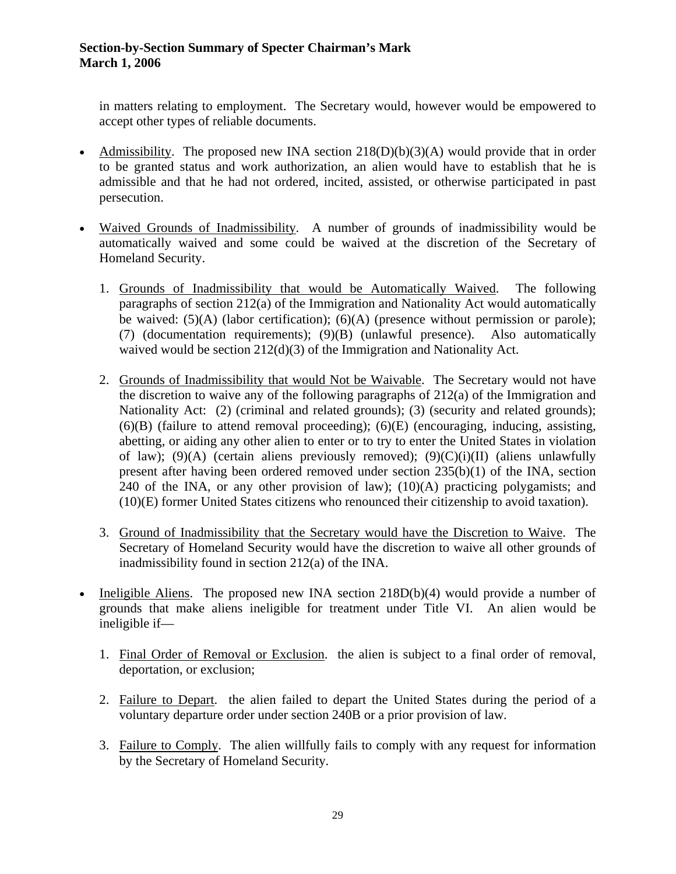in matters relating to employment. The Secretary would, however would be empowered to accept other types of reliable documents.

- Admissibility. The proposed new INA section  $218(D)(b)(3)(A)$  would provide that in order to be granted status and work authorization, an alien would have to establish that he is admissible and that he had not ordered, incited, assisted, or otherwise participated in past persecution.
- Waived Grounds of Inadmissibility. A number of grounds of inadmissibility would be automatically waived and some could be waived at the discretion of the Secretary of Homeland Security.
	- 1. Grounds of Inadmissibility that would be Automatically Waived. The following paragraphs of section 212(a) of the Immigration and Nationality Act would automatically be waived: (5)(A) (labor certification); (6)(A) (presence without permission or parole); (7) (documentation requirements); (9)(B) (unlawful presence). Also automatically waived would be section 212(d)(3) of the Immigration and Nationality Act.
	- 2. Grounds of Inadmissibility that would Not be Waivable. The Secretary would not have the discretion to waive any of the following paragraphs of 212(a) of the Immigration and Nationality Act: (2) (criminal and related grounds); (3) (security and related grounds);  $(6)(B)$  (failure to attend removal proceeding);  $(6)(E)$  (encouraging, inducing, assisting, abetting, or aiding any other alien to enter or to try to enter the United States in violation of law); (9)(A) (certain aliens previously removed); (9)(C)(i)(II) (aliens unlawfully present after having been ordered removed under section 235(b)(1) of the INA, section 240 of the INA, or any other provision of law);  $(10)(A)$  practicing polygamists; and (10)(E) former United States citizens who renounced their citizenship to avoid taxation).
	- 3. Ground of Inadmissibility that the Secretary would have the Discretion to Waive. The Secretary of Homeland Security would have the discretion to waive all other grounds of inadmissibility found in section 212(a) of the INA.
- Ineligible Aliens. The proposed new INA section  $218D(b)(4)$  would provide a number of grounds that make aliens ineligible for treatment under Title VI. An alien would be ineligible if—
	- 1. Final Order of Removal or Exclusion. the alien is subject to a final order of removal, deportation, or exclusion;
	- 2. Failure to Depart. the alien failed to depart the United States during the period of a voluntary departure order under section 240B or a prior provision of law.
	- 3. Failure to Comply. The alien willfully fails to comply with any request for information by the Secretary of Homeland Security.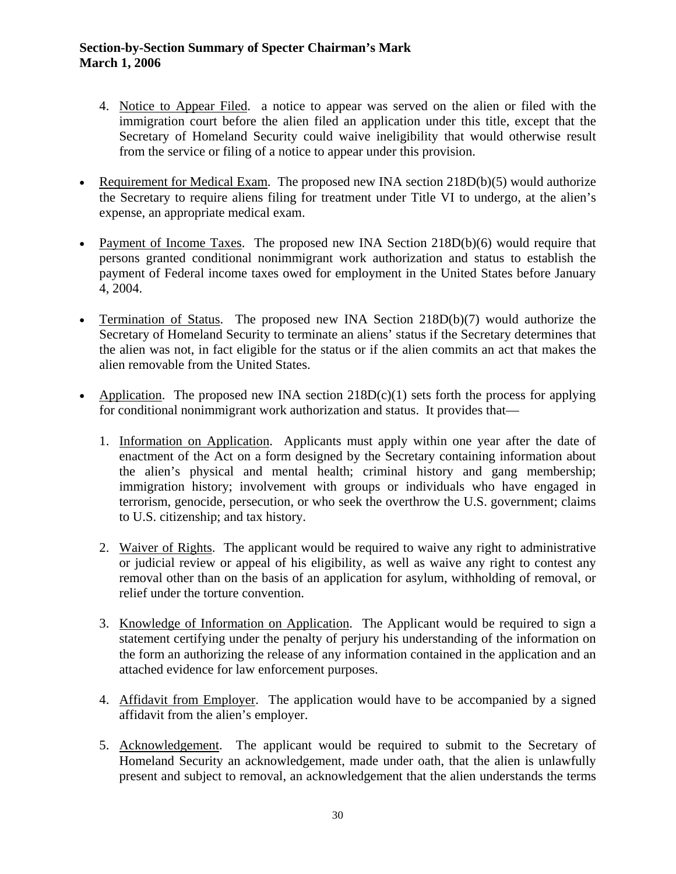- 4. Notice to Appear Filed. a notice to appear was served on the alien or filed with the immigration court before the alien filed an application under this title, except that the Secretary of Homeland Security could waive ineligibility that would otherwise result from the service or filing of a notice to appear under this provision.
- Requirement for Medical Exam. The proposed new INA section 218D(b)(5) would authorize the Secretary to require aliens filing for treatment under Title VI to undergo, at the alien's expense, an appropriate medical exam.
- Payment of Income Taxes. The proposed new INA Section 218D(b)(6) would require that persons granted conditional nonimmigrant work authorization and status to establish the payment of Federal income taxes owed for employment in the United States before January 4, 2004.
- Termination of Status. The proposed new INA Section  $218D(b)(7)$  would authorize the Secretary of Homeland Security to terminate an aliens' status if the Secretary determines that the alien was not, in fact eligible for the status or if the alien commits an act that makes the alien removable from the United States.
- Application. The proposed new INA section  $218D(c)(1)$  sets forth the process for applying for conditional nonimmigrant work authorization and status. It provides that—
	- 1. Information on Application. Applicants must apply within one year after the date of enactment of the Act on a form designed by the Secretary containing information about the alien's physical and mental health; criminal history and gang membership; immigration history; involvement with groups or individuals who have engaged in terrorism, genocide, persecution, or who seek the overthrow the U.S. government; claims to U.S. citizenship; and tax history.
	- 2. Waiver of Rights. The applicant would be required to waive any right to administrative or judicial review or appeal of his eligibility, as well as waive any right to contest any removal other than on the basis of an application for asylum, withholding of removal, or relief under the torture convention.
	- 3. Knowledge of Information on Application. The Applicant would be required to sign a statement certifying under the penalty of perjury his understanding of the information on the form an authorizing the release of any information contained in the application and an attached evidence for law enforcement purposes.
	- 4. Affidavit from Employer. The application would have to be accompanied by a signed affidavit from the alien's employer.
	- 5. Acknowledgement. The applicant would be required to submit to the Secretary of Homeland Security an acknowledgement, made under oath, that the alien is unlawfully present and subject to removal, an acknowledgement that the alien understands the terms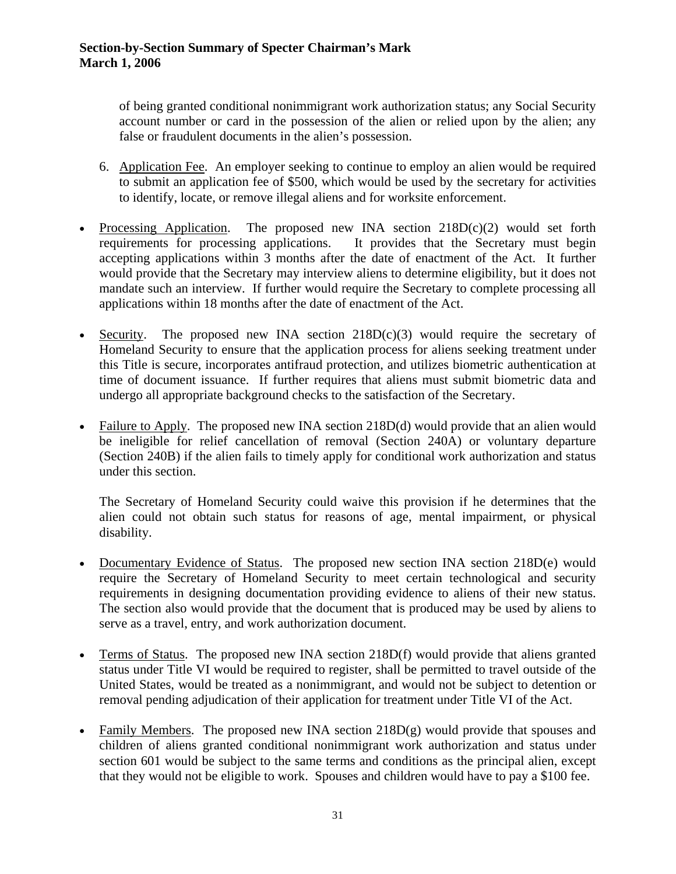of being granted conditional nonimmigrant work authorization status; any Social Security account number or card in the possession of the alien or relied upon by the alien; any false or fraudulent documents in the alien's possession.

- 6. Application Fee. An employer seeking to continue to employ an alien would be required to submit an application fee of \$500, which would be used by the secretary for activities to identify, locate, or remove illegal aliens and for worksite enforcement.
- Processing Application. The proposed new INA section  $218D(c)(2)$  would set forth requirements for processing applications. It provides that the Secretary must begin accepting applications within 3 months after the date of enactment of the Act. It further would provide that the Secretary may interview aliens to determine eligibility, but it does not mandate such an interview. If further would require the Secretary to complete processing all applications within 18 months after the date of enactment of the Act.
- Security. The proposed new INA section  $218D(c)(3)$  would require the secretary of Homeland Security to ensure that the application process for aliens seeking treatment under this Title is secure, incorporates antifraud protection, and utilizes biometric authentication at time of document issuance. If further requires that aliens must submit biometric data and undergo all appropriate background checks to the satisfaction of the Secretary.
- Failure to Apply. The proposed new INA section 218D(d) would provide that an alien would be ineligible for relief cancellation of removal (Section 240A) or voluntary departure (Section 240B) if the alien fails to timely apply for conditional work authorization and status under this section.

The Secretary of Homeland Security could waive this provision if he determines that the alien could not obtain such status for reasons of age, mental impairment, or physical disability.

- Documentary Evidence of Status. The proposed new section INA section 218D(e) would require the Secretary of Homeland Security to meet certain technological and security requirements in designing documentation providing evidence to aliens of their new status. The section also would provide that the document that is produced may be used by aliens to serve as a travel, entry, and work authorization document.
- Terms of Status. The proposed new INA section 218D(f) would provide that aliens granted status under Title VI would be required to register, shall be permitted to travel outside of the United States, would be treated as a nonimmigrant, and would not be subject to detention or removal pending adjudication of their application for treatment under Title VI of the Act.
- Family Members. The proposed new INA section 218D(g) would provide that spouses and children of aliens granted conditional nonimmigrant work authorization and status under section 601 would be subject to the same terms and conditions as the principal alien, except that they would not be eligible to work. Spouses and children would have to pay a \$100 fee.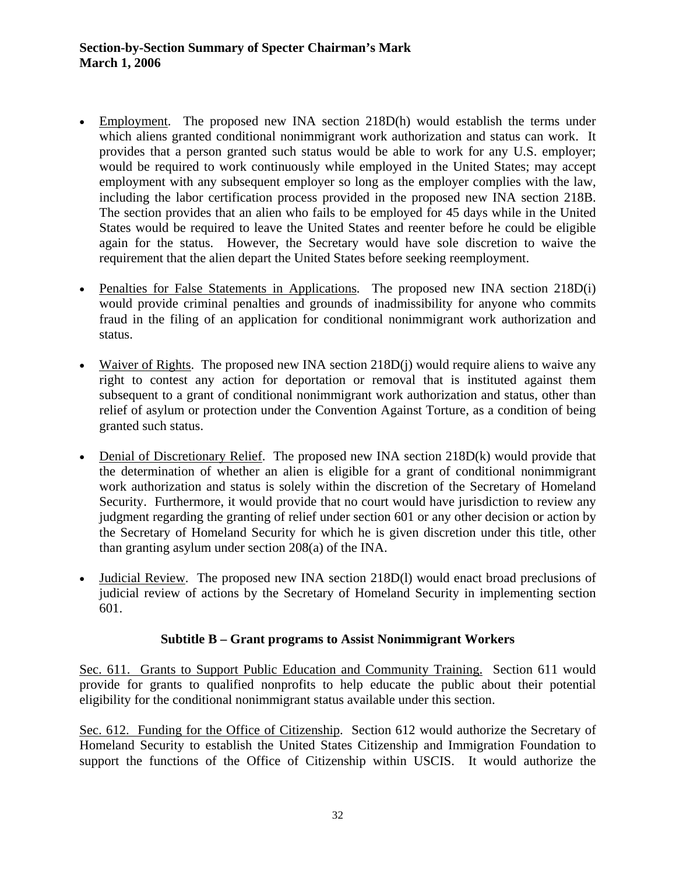- Employment. The proposed new INA section 218D(h) would establish the terms under which aliens granted conditional nonimmigrant work authorization and status can work. It provides that a person granted such status would be able to work for any U.S. employer; would be required to work continuously while employed in the United States; may accept employment with any subsequent employer so long as the employer complies with the law, including the labor certification process provided in the proposed new INA section 218B. The section provides that an alien who fails to be employed for 45 days while in the United States would be required to leave the United States and reenter before he could be eligible again for the status. However, the Secretary would have sole discretion to waive the requirement that the alien depart the United States before seeking reemployment.
- Penalties for False Statements in Applications. The proposed new INA section 218D(i) would provide criminal penalties and grounds of inadmissibility for anyone who commits fraud in the filing of an application for conditional nonimmigrant work authorization and status.
- Waiver of Rights. The proposed new INA section 218D(j) would require aliens to waive any right to contest any action for deportation or removal that is instituted against them subsequent to a grant of conditional nonimmigrant work authorization and status, other than relief of asylum or protection under the Convention Against Torture, as a condition of being granted such status.
- Denial of Discretionary Relief. The proposed new INA section 218D(k) would provide that the determination of whether an alien is eligible for a grant of conditional nonimmigrant work authorization and status is solely within the discretion of the Secretary of Homeland Security. Furthermore, it would provide that no court would have jurisdiction to review any judgment regarding the granting of relief under section 601 or any other decision or action by the Secretary of Homeland Security for which he is given discretion under this title, other than granting asylum under section 208(a) of the INA.
- Judicial Review. The proposed new INA section 218D(l) would enact broad preclusions of judicial review of actions by the Secretary of Homeland Security in implementing section 601.

## **Subtitle B – Grant programs to Assist Nonimmigrant Workers**

Sec. 611. Grants to Support Public Education and Community Training. Section 611 would provide for grants to qualified nonprofits to help educate the public about their potential eligibility for the conditional nonimmigrant status available under this section.

Sec. 612. Funding for the Office of Citizenship. Section 612 would authorize the Secretary of Homeland Security to establish the United States Citizenship and Immigration Foundation to support the functions of the Office of Citizenship within USCIS. It would authorize the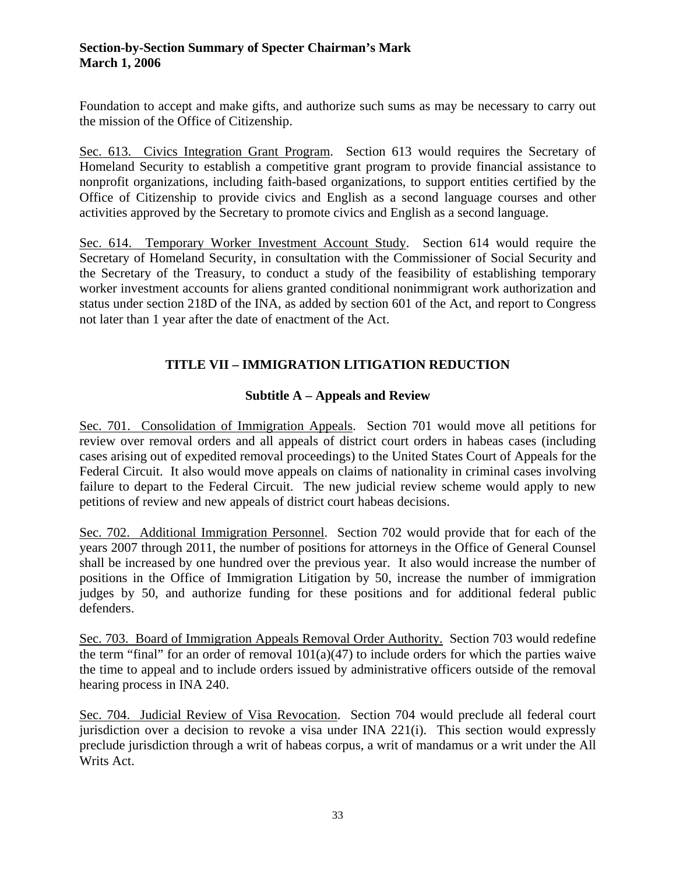Foundation to accept and make gifts, and authorize such sums as may be necessary to carry out the mission of the Office of Citizenship.

Sec. 613. Civics Integration Grant Program. Section 613 would requires the Secretary of Homeland Security to establish a competitive grant program to provide financial assistance to nonprofit organizations, including faith-based organizations, to support entities certified by the Office of Citizenship to provide civics and English as a second language courses and other activities approved by the Secretary to promote civics and English as a second language.

Sec. 614. Temporary Worker Investment Account Study. Section 614 would require the Secretary of Homeland Security, in consultation with the Commissioner of Social Security and the Secretary of the Treasury, to conduct a study of the feasibility of establishing temporary worker investment accounts for aliens granted conditional nonimmigrant work authorization and status under section 218D of the INA, as added by section 601 of the Act, and report to Congress not later than 1 year after the date of enactment of the Act.

# **TITLE VII – IMMIGRATION LITIGATION REDUCTION**

## **Subtitle A – Appeals and Review**

Sec. 701. Consolidation of Immigration Appeals. Section 701 would move all petitions for review over removal orders and all appeals of district court orders in habeas cases (including cases arising out of expedited removal proceedings) to the United States Court of Appeals for the Federal Circuit. It also would move appeals on claims of nationality in criminal cases involving failure to depart to the Federal Circuit. The new judicial review scheme would apply to new petitions of review and new appeals of district court habeas decisions.

Sec. 702. Additional Immigration Personnel. Section 702 would provide that for each of the years 2007 through 2011, the number of positions for attorneys in the Office of General Counsel shall be increased by one hundred over the previous year. It also would increase the number of positions in the Office of Immigration Litigation by 50, increase the number of immigration judges by 50, and authorize funding for these positions and for additional federal public defenders.

Sec. 703. Board of Immigration Appeals Removal Order Authority. Section 703 would redefine the term "final" for an order of removal  $101(a)(47)$  to include orders for which the parties waive the time to appeal and to include orders issued by administrative officers outside of the removal hearing process in INA 240.

Sec. 704. Judicial Review of Visa Revocation. Section 704 would preclude all federal court jurisdiction over a decision to revoke a visa under INA 221(i). This section would expressly preclude jurisdiction through a writ of habeas corpus, a writ of mandamus or a writ under the All Writs Act.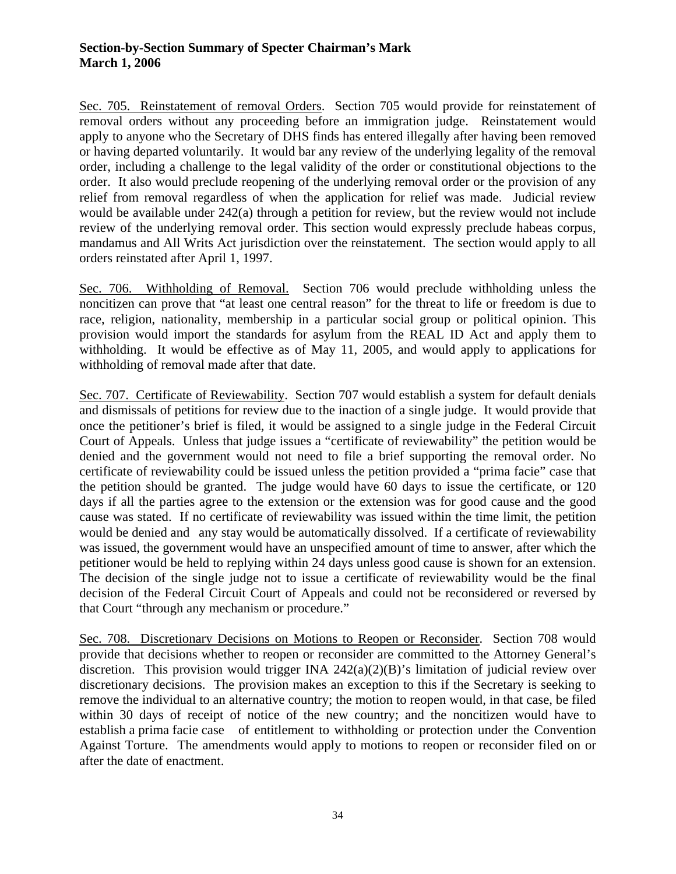Sec. 705. Reinstatement of removal Orders. Section 705 would provide for reinstatement of removal orders without any proceeding before an immigration judge. Reinstatement would apply to anyone who the Secretary of DHS finds has entered illegally after having been removed or having departed voluntarily. It would bar any review of the underlying legality of the removal order, including a challenge to the legal validity of the order or constitutional objections to the order. It also would preclude reopening of the underlying removal order or the provision of any relief from removal regardless of when the application for relief was made. Judicial review would be available under 242(a) through a petition for review, but the review would not include review of the underlying removal order. This section would expressly preclude habeas corpus, mandamus and All Writs Act jurisdiction over the reinstatement. The section would apply to all orders reinstated after April 1, 1997.

Sec. 706. Withholding of Removal. Section 706 would preclude withholding unless the noncitizen can prove that "at least one central reason" for the threat to life or freedom is due to race, religion, nationality, membership in a particular social group or political opinion. This provision would import the standards for asylum from the REAL ID Act and apply them to withholding. It would be effective as of May 11, 2005, and would apply to applications for withholding of removal made after that date.

Sec. 707. Certificate of Reviewability. Section 707 would establish a system for default denials and dismissals of petitions for review due to the inaction of a single judge. It would provide that once the petitioner's brief is filed, it would be assigned to a single judge in the Federal Circuit Court of Appeals. Unless that judge issues a "certificate of reviewability" the petition would be denied and the government would not need to file a brief supporting the removal order. No certificate of reviewability could be issued unless the petition provided a "prima facie" case that the petition should be granted. The judge would have 60 days to issue the certificate, or 120 days if all the parties agree to the extension or the extension was for good cause and the good cause was stated. If no certificate of reviewability was issued within the time limit, the petition would be denied and any stay would be automatically dissolved. If a certificate of reviewability was issued, the government would have an unspecified amount of time to answer, after which the petitioner would be held to replying within 24 days unless good cause is shown for an extension. The decision of the single judge not to issue a certificate of reviewability would be the final decision of the Federal Circuit Court of Appeals and could not be reconsidered or reversed by that Court "through any mechanism or procedure."

Sec. 708. Discretionary Decisions on Motions to Reopen or Reconsider. Section 708 would provide that decisions whether to reopen or reconsider are committed to the Attorney General's discretion. This provision would trigger INA  $242(a)(2)(B)$ 's limitation of judicial review over discretionary decisions. The provision makes an exception to this if the Secretary is seeking to remove the individual to an alternative country; the motion to reopen would, in that case, be filed within 30 days of receipt of notice of the new country; and the noncitizen would have to establish a prima facie case of entitlement to withholding or protection under the Convention Against Torture. The amendments would apply to motions to reopen or reconsider filed on or after the date of enactment.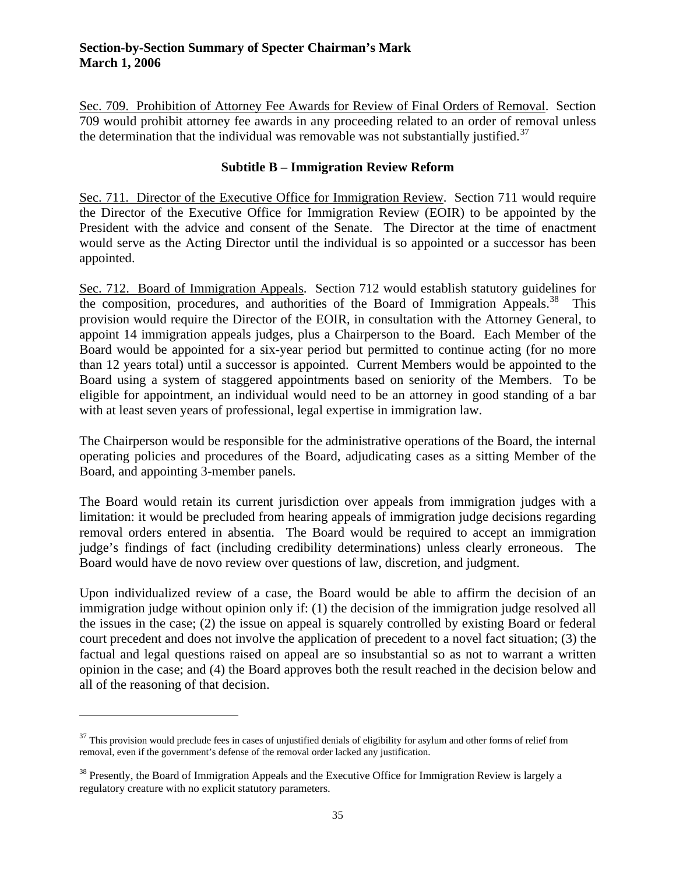Sec. 709. Prohibition of Attorney Fee Awards for Review of Final Orders of Removal. Section 709 would prohibit attorney fee awards in any proceeding related to an order of removal unless the determination that the individual was removable was not substantially justified.<sup>[37](#page-34-0)</sup>

### **Subtitle B – Immigration Review Reform**

Sec. 711. Director of the Executive Office for Immigration Review. Section 711 would require the Director of the Executive Office for Immigration Review (EOIR) to be appointed by the President with the advice and consent of the Senate. The Director at the time of enactment would serve as the Acting Director until the individual is so appointed or a successor has been appointed.

Sec. 712. Board of Immigration Appeals. Section 712 would establish statutory guidelines for the composition, procedures, and authorities of the Board of Immigration Appeals.<sup>[38](#page-34-1)</sup> This provision would require the Director of the EOIR, in consultation with the Attorney General, to appoint 14 immigration appeals judges, plus a Chairperson to the Board. Each Member of the Board would be appointed for a six-year period but permitted to continue acting (for no more than 12 years total) until a successor is appointed. Current Members would be appointed to the Board using a system of staggered appointments based on seniority of the Members. To be eligible for appointment, an individual would need to be an attorney in good standing of a bar with at least seven years of professional, legal expertise in immigration law.

The Chairperson would be responsible for the administrative operations of the Board, the internal operating policies and procedures of the Board, adjudicating cases as a sitting Member of the Board, and appointing 3-member panels.

The Board would retain its current jurisdiction over appeals from immigration judges with a limitation: it would be precluded from hearing appeals of immigration judge decisions regarding removal orders entered in absentia. The Board would be required to accept an immigration judge's findings of fact (including credibility determinations) unless clearly erroneous. The Board would have de novo review over questions of law, discretion, and judgment.

Upon individualized review of a case, the Board would be able to affirm the decision of an immigration judge without opinion only if: (1) the decision of the immigration judge resolved all the issues in the case; (2) the issue on appeal is squarely controlled by existing Board or federal court precedent and does not involve the application of precedent to a novel fact situation; (3) the factual and legal questions raised on appeal are so insubstantial so as not to warrant a written opinion in the case; and (4) the Board approves both the result reached in the decision below and all of the reasoning of that decision.

<span id="page-34-0"></span> $37$  This provision would preclude fees in cases of unjustified denials of eligibility for asylum and other forms of relief from removal, even if the government's defense of the removal order lacked any justification.

<span id="page-34-1"></span><sup>&</sup>lt;sup>38</sup> Presently, the Board of Immigration Appeals and the Executive Office for Immigration Review is largely a regulatory creature with no explicit statutory parameters.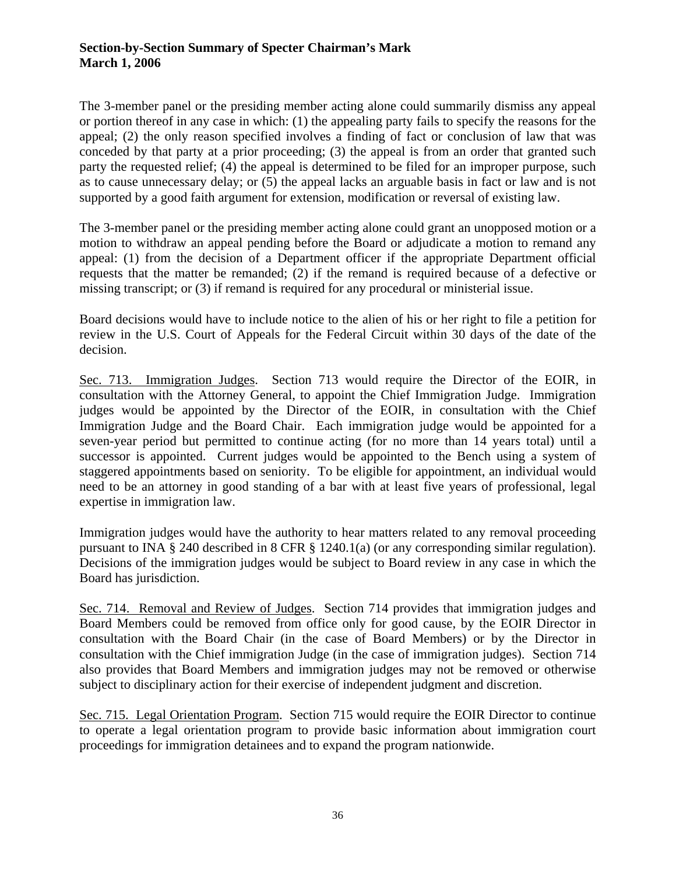The 3-member panel or the presiding member acting alone could summarily dismiss any appeal or portion thereof in any case in which: (1) the appealing party fails to specify the reasons for the appeal; (2) the only reason specified involves a finding of fact or conclusion of law that was conceded by that party at a prior proceeding; (3) the appeal is from an order that granted such party the requested relief; (4) the appeal is determined to be filed for an improper purpose, such as to cause unnecessary delay; or (5) the appeal lacks an arguable basis in fact or law and is not supported by a good faith argument for extension, modification or reversal of existing law.

The 3-member panel or the presiding member acting alone could grant an unopposed motion or a motion to withdraw an appeal pending before the Board or adjudicate a motion to remand any appeal: (1) from the decision of a Department officer if the appropriate Department official requests that the matter be remanded; (2) if the remand is required because of a defective or missing transcript; or (3) if remand is required for any procedural or ministerial issue.

Board decisions would have to include notice to the alien of his or her right to file a petition for review in the U.S. Court of Appeals for the Federal Circuit within 30 days of the date of the decision.

Sec. 713. Immigration Judges. Section 713 would require the Director of the EOIR, in consultation with the Attorney General, to appoint the Chief Immigration Judge. Immigration judges would be appointed by the Director of the EOIR, in consultation with the Chief Immigration Judge and the Board Chair. Each immigration judge would be appointed for a seven-year period but permitted to continue acting (for no more than 14 years total) until a successor is appointed. Current judges would be appointed to the Bench using a system of staggered appointments based on seniority. To be eligible for appointment, an individual would need to be an attorney in good standing of a bar with at least five years of professional, legal expertise in immigration law.

Immigration judges would have the authority to hear matters related to any removal proceeding pursuant to INA § 240 described in 8 CFR § 1240.1(a) (or any corresponding similar regulation). Decisions of the immigration judges would be subject to Board review in any case in which the Board has jurisdiction.

Sec. 714. Removal and Review of Judges. Section 714 provides that immigration judges and Board Members could be removed from office only for good cause, by the EOIR Director in consultation with the Board Chair (in the case of Board Members) or by the Director in consultation with the Chief immigration Judge (in the case of immigration judges). Section 714 also provides that Board Members and immigration judges may not be removed or otherwise subject to disciplinary action for their exercise of independent judgment and discretion.

Sec. 715. Legal Orientation Program. Section 715 would require the EOIR Director to continue to operate a legal orientation program to provide basic information about immigration court proceedings for immigration detainees and to expand the program nationwide.